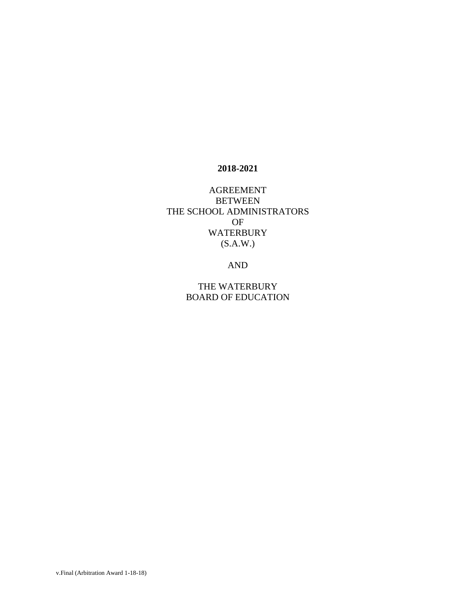#### **2018-2021**

AGREEMENT **BETWEEN** THE SCHOOL ADMINISTRATORS OF WATERBURY (S.A.W.)

AND

THE WATERBURY BOARD OF EDUCATION

v.Final (Arbitration Award 1-18-18)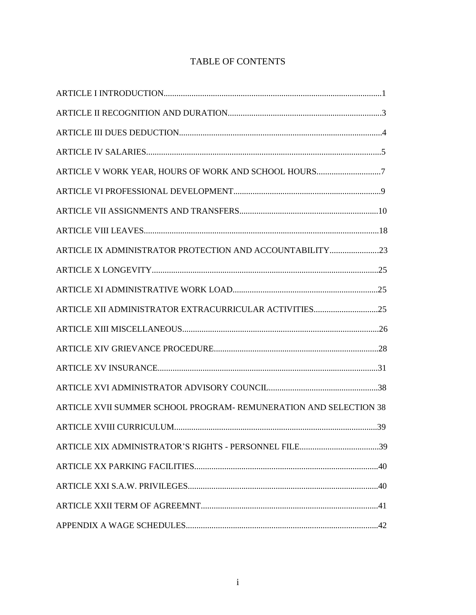| ARTICLE XII ADMINISTRATOR EXTRACURRICULAR ACTIVITIES25            |
|-------------------------------------------------------------------|
|                                                                   |
|                                                                   |
|                                                                   |
|                                                                   |
| ARTICLE XVII SUMMER SCHOOL PROGRAM- REMUNERATION AND SELECTION 38 |
|                                                                   |
| ARTICLE XIX ADMINISTRATOR'S RIGHTS - PERSONNEL FILE39             |
|                                                                   |
|                                                                   |
|                                                                   |
|                                                                   |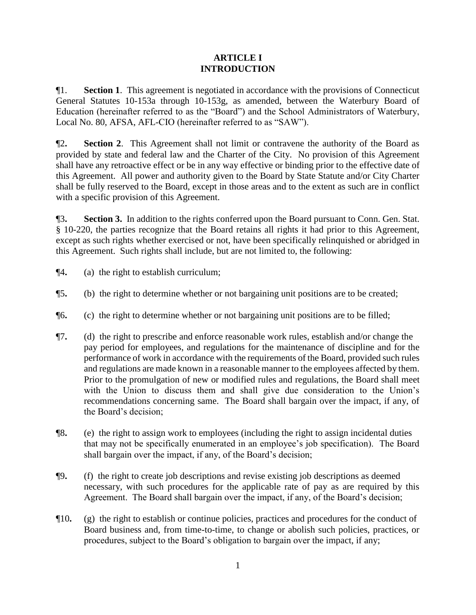# **ARTICLE I INTRODUCTION**

¶1. **Section 1**. This agreement is negotiated in accordance with the provisions of Connecticut General Statutes 10-153a through 10-153g, as amended, between the Waterbury Board of Education (hereinafter referred to as the "Board") and the School Administrators of Waterbury, Local No. 80, AFSA, AFL-CIO (hereinafter referred to as "SAW").

¶2**. Section 2**. This Agreement shall not limit or contravene the authority of the Board as provided by state and federal law and the Charter of the City. No provision of this Agreement shall have any retroactive effect or be in any way effective or binding prior to the effective date of this Agreement. All power and authority given to the Board by State Statute and/or City Charter shall be fully reserved to the Board, except in those areas and to the extent as such are in conflict with a specific provision of this Agreement.

¶3**. Section 3.** In addition to the rights conferred upon the Board pursuant to Conn. Gen. Stat. § 10-220, the parties recognize that the Board retains all rights it had prior to this Agreement, except as such rights whether exercised or not, have been specifically relinquished or abridged in this Agreement. Such rights shall include, but are not limited to, the following:

- ¶4**.** (a) the right to establish curriculum;
- ¶5**.** (b) the right to determine whether or not bargaining unit positions are to be created;
- ¶6**.** (c) the right to determine whether or not bargaining unit positions are to be filled;
- ¶7**.** (d) the right to prescribe and enforce reasonable work rules, establish and/or change the pay period for employees, and regulations for the maintenance of discipline and for the performance of work in accordance with the requirements of the Board, provided such rules and regulations are made known in a reasonable manner to the employees affected by them. Prior to the promulgation of new or modified rules and regulations, the Board shall meet with the Union to discuss them and shall give due consideration to the Union's recommendations concerning same. The Board shall bargain over the impact, if any, of the Board's decision;
- ¶8**.** (e) the right to assign work to employees (including the right to assign incidental duties that may not be specifically enumerated in an employee's job specification). The Board shall bargain over the impact, if any, of the Board's decision;
- ¶9**.** (f) the right to create job descriptions and revise existing job descriptions as deemed necessary, with such procedures for the applicable rate of pay as are required by this Agreement. The Board shall bargain over the impact, if any, of the Board's decision;
- ¶10**.** (g) the right to establish or continue policies, practices and procedures for the conduct of Board business and, from time-to-time, to change or abolish such policies, practices, or procedures, subject to the Board's obligation to bargain over the impact, if any;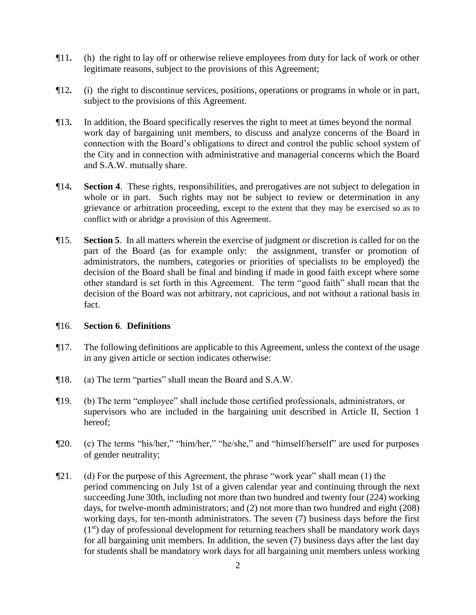- ¶11**.** (h) the right to lay off or otherwise relieve employees from duty for lack of work or other legitimate reasons, subject to the provisions of this Agreement;
- ¶12**.** (i) the right to discontinue services, positions, operations or programs in whole or in part, subject to the provisions of this Agreement.
- ¶13**.** In addition, the Board specifically reserves the right to meet at times beyond the normal work day of bargaining unit members, to discuss and analyze concerns of the Board in connection with the Board's obligations to direct and control the public school system of the City and in connection with administrative and managerial concerns which the Board and S.A.W. mutually share.
- ¶14**. Section 4**. These rights, responsibilities, and prerogatives are not subject to delegation in whole or in part. Such rights may not be subject to review or determination in any grievance or arbitration proceeding, except to the extent that they may be exercised so as to conflict with or abridge a provision of this Agreement.
- ¶15. **Section 5**. In all matters wherein the exercise of judgment or discretion is called for on the part of the Board (as for example only: the assignment, transfer or promotion of administrators, the numbers, categories or priorities of specialists to be employed) the decision of the Board shall be final and binding if made in good faith except where some other standard is set forth in this Agreement. The term "good faith" shall mean that the decision of the Board was not arbitrary, not capricious, and not without a rational basis in fact.

#### ¶16. **Section 6**. **Definitions**

- ¶17. The following definitions are applicable to this Agreement, unless the context of the usage in any given article or section indicates otherwise:
- ¶18. (a) The term "parties" shall mean the Board and S.A.W.
- ¶19. (b) The term "employee" shall include those certified professionals, administrators, or supervisors who are included in the bargaining unit described in Article II, Section 1 hereof;
- ¶20. (c) The terms "his/her," "him/her," "he/she," and "himself/herself" are used for purposes of gender neutrality;
- ¶21. (d) For the purpose of this Agreement, the phrase "work year" shall mean (1) the period commencing on July 1st of a given calendar year and continuing through the next succeeding June 30th, including not more than two hundred and twenty four (224) working days, for twelve-month administrators; and (2) not more than two hundred and eight (208) working days, for ten-month administrators. The seven (7) business days before the first  $(1<sup>st</sup>)$  day of professional development for returning teachers shall be mandatory work days for all bargaining unit members. In addition, the seven (7) business days after the last day for students shall be mandatory work days for all bargaining unit members unless working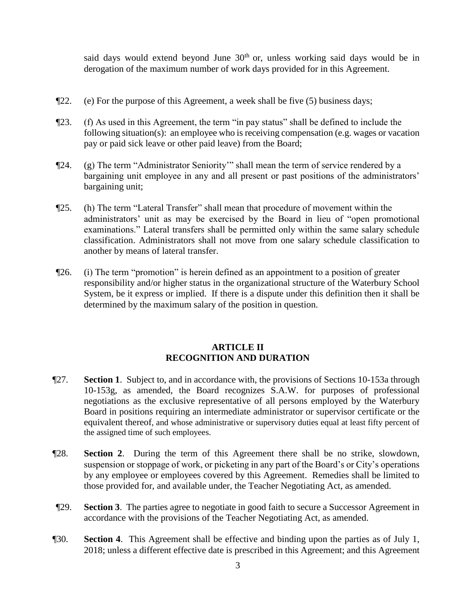said days would extend beyond June  $30<sup>th</sup>$  or, unless working said days would be in derogation of the maximum number of work days provided for in this Agreement.

- $\P$ 22. (e) For the purpose of this Agreement, a week shall be five (5) business days;
- ¶23. (f) As used in this Agreement, the term "in pay status" shall be defined to include the following situation(s): an employee who is receiving compensation (e.g. wages or vacation pay or paid sick leave or other paid leave) from the Board;
- ¶24. (g) The term "Administrator Seniority'" shall mean the term of service rendered by a bargaining unit employee in any and all present or past positions of the administrators' bargaining unit;
- ¶25. (h) The term "Lateral Transfer" shall mean that procedure of movement within the administrators' unit as may be exercised by the Board in lieu of "open promotional examinations." Lateral transfers shall be permitted only within the same salary schedule classification. Administrators shall not move from one salary schedule classification to another by means of lateral transfer.
- ¶26. (i) The term "promotion" is herein defined as an appointment to a position of greater responsibility and/or higher status in the organizational structure of the Waterbury School System, be it express or implied. If there is a dispute under this definition then it shall be determined by the maximum salary of the position in question.

#### **ARTICLE II RECOGNITION AND DURATION**

- ¶27. **Section 1**. Subject to, and in accordance with, the provisions of Sections 10-153a through 10-153g, as amended, the Board recognizes S.A.W. for purposes of professional negotiations as the exclusive representative of all persons employed by the Waterbury Board in positions requiring an intermediate administrator or supervisor certificate or the equivalent thereof, and whose administrative or supervisory duties equal at least fifty percent of the assigned time of such employees.
- ¶28. **Section 2**. During the term of this Agreement there shall be no strike, slowdown, suspension or stoppage of work, or picketing in any part of the Board's or City's operations by any employee or employees covered by this Agreement. Remedies shall be limited to those provided for, and available under, the Teacher Negotiating Act, as amended.
- ¶29. **Section 3**. The parties agree to negotiate in good faith to secure a Successor Agreement in accordance with the provisions of the Teacher Negotiating Act, as amended.
- ¶30. **Section 4**. This Agreement shall be effective and binding upon the parties as of July 1, 2018; unless a different effective date is prescribed in this Agreement; and this Agreement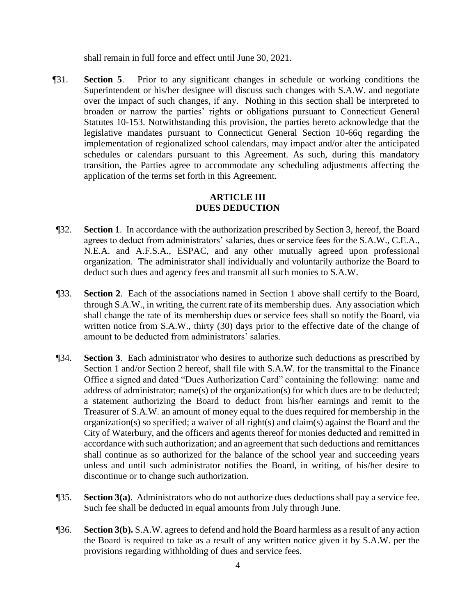shall remain in full force and effect until June 30, 2021.

¶31. **Section 5**. Prior to any significant changes in schedule or working conditions the Superintendent or his/her designee will discuss such changes with S.A.W. and negotiate over the impact of such changes, if any. Nothing in this section shall be interpreted to broaden or narrow the parties' rights or obligations pursuant to Connecticut General Statutes 10-153. Notwithstanding this provision, the parties hereto acknowledge that the legislative mandates pursuant to Connecticut General Section 10-66q regarding the implementation of regionalized school calendars, may impact and/or alter the anticipated schedules or calendars pursuant to this Agreement. As such, during this mandatory transition, the Parties agree to accommodate any scheduling adjustments affecting the application of the terms set forth in this Agreement.

#### **ARTICLE III DUES DEDUCTION**

- ¶32. **Section 1**. In accordance with the authorization prescribed by Section 3, hereof, the Board agrees to deduct from administrators' salaries, dues or service fees for the S.A.W., C.E.A., N.E.A. and A.F.S.A., ESPAC, and any other mutually agreed upon professional organization. The administrator shall individually and voluntarily authorize the Board to deduct such dues and agency fees and transmit all such monies to S.A.W.
- ¶33. **Section 2**. Each of the associations named in Section 1 above shall certify to the Board, through S.A.W., in writing, the current rate of its membership dues. Any association which shall change the rate of its membership dues or service fees shall so notify the Board, via written notice from S.A.W., thirty (30) days prior to the effective date of the change of amount to be deducted from administrators' salaries.
- ¶34. **Section 3**. Each administrator who desires to authorize such deductions as prescribed by Section 1 and/or Section 2 hereof, shall file with S.A.W. for the transmittal to the Finance Office a signed and dated "Dues Authorization Card" containing the following: name and address of administrator; name(s) of the organization(s) for which dues are to be deducted; a statement authorizing the Board to deduct from his/her earnings and remit to the Treasurer of S.A.W. an amount of money equal to the dues required for membership in the organization(s) so specified; a waiver of all right(s) and claim(s) against the Board and the City of Waterbury, and the officers and agents thereof for monies deducted and remitted in accordance with such authorization; and an agreement that such deductions and remittances shall continue as so authorized for the balance of the school year and succeeding years unless and until such administrator notifies the Board, in writing, of his/her desire to discontinue or to change such authorization.
- ¶35. **Section 3(a)**. Administrators who do not authorize dues deductions shall pay a service fee. Such fee shall be deducted in equal amounts from July through June.
- ¶36. **Section 3(b).** S.A.W. agrees to defend and hold the Board harmless as a result of any action the Board is required to take as a result of any written notice given it by S.A.W. per the provisions regarding withholding of dues and service fees.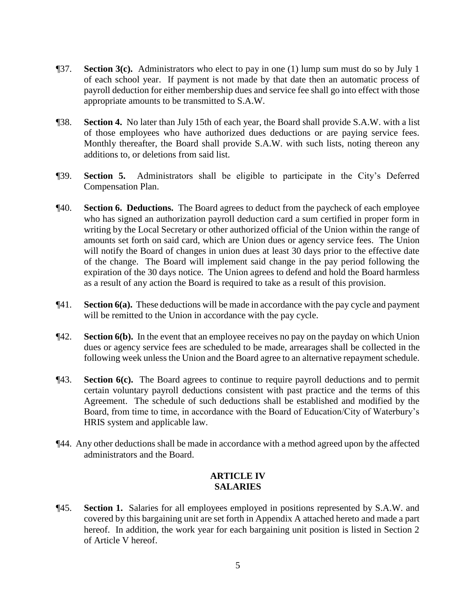- ¶37. **Section 3(c).** Administrators who elect to pay in one (1) lump sum must do so by July 1 of each school year. If payment is not made by that date then an automatic process of payroll deduction for either membership dues and service fee shall go into effect with those appropriate amounts to be transmitted to S.A.W.
- ¶38. **Section 4.** No later than July 15th of each year, the Board shall provide S.A.W. with a list of those employees who have authorized dues deductions or are paying service fees. Monthly thereafter, the Board shall provide S.A.W. with such lists, noting thereon any additions to, or deletions from said list.
- ¶39. **Section 5.** Administrators shall be eligible to participate in the City's Deferred Compensation Plan.
- ¶40. **Section 6. Deductions.** The Board agrees to deduct from the paycheck of each employee who has signed an authorization payroll deduction card a sum certified in proper form in writing by the Local Secretary or other authorized official of the Union within the range of amounts set forth on said card, which are Union dues or agency service fees. The Union will notify the Board of changes in union dues at least 30 days prior to the effective date of the change. The Board will implement said change in the pay period following the expiration of the 30 days notice. The Union agrees to defend and hold the Board harmless as a result of any action the Board is required to take as a result of this provision.
- ¶41. **Section 6(a).** These deductions will be made in accordance with the pay cycle and payment will be remitted to the Union in accordance with the pay cycle.
- ¶42. **Section 6(b).** In the event that an employee receives no pay on the payday on which Union dues or agency service fees are scheduled to be made, arrearages shall be collected in the following week unless the Union and the Board agree to an alternative repayment schedule.
- ¶43. **Section 6(c).** The Board agrees to continue to require payroll deductions and to permit certain voluntary payroll deductions consistent with past practice and the terms of this Agreement. The schedule of such deductions shall be established and modified by the Board, from time to time, in accordance with the Board of Education/City of Waterbury's HRIS system and applicable law.
- ¶44. Any other deductions shall be made in accordance with a method agreed upon by the affected administrators and the Board.

# **ARTICLE IV SALARIES**

¶45. **Section 1.** Salaries for all employees employed in positions represented by S.A.W. and covered by this bargaining unit are set forth in Appendix A attached hereto and made a part hereof. In addition, the work year for each bargaining unit position is listed in Section 2 of Article V hereof.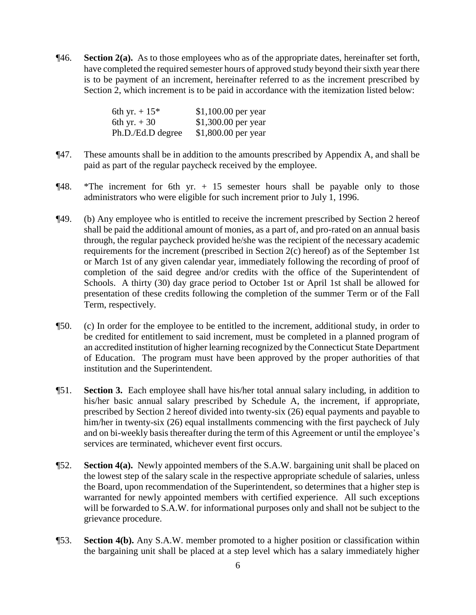¶46. **Section 2(a).** As to those employees who as of the appropriate dates, hereinafter set forth, have completed the required semester hours of approved study beyond their sixth year there is to be payment of an increment, hereinafter referred to as the increment prescribed by Section 2, which increment is to be paid in accordance with the itemization listed below:

| 6th yr. $+15*$    | $$1,100.00$ per year |
|-------------------|----------------------|
| 6th yr. $+30$     | \$1,300.00 per year  |
| Ph.D./Ed.D degree | \$1,800.00 per year  |

- ¶47. These amounts shall be in addition to the amounts prescribed by Appendix A, and shall be paid as part of the regular paycheck received by the employee.
- $\P$ 48. \*The increment for 6th yr. + 15 semester hours shall be payable only to those administrators who were eligible for such increment prior to July 1, 1996.
- ¶49. (b) Any employee who is entitled to receive the increment prescribed by Section 2 hereof shall be paid the additional amount of monies, as a part of, and pro-rated on an annual basis through, the regular paycheck provided he/she was the recipient of the necessary academic requirements for the increment (prescribed in Section 2(c) hereof) as of the September 1st or March 1st of any given calendar year, immediately following the recording of proof of completion of the said degree and/or credits with the office of the Superintendent of Schools. A thirty (30) day grace period to October 1st or April 1st shall be allowed for presentation of these credits following the completion of the summer Term or of the Fall Term, respectively.
- ¶50. (c) In order for the employee to be entitled to the increment, additional study, in order to be credited for entitlement to said increment, must be completed in a planned program of an accredited institution of higher learning recognized by the Connecticut State Department of Education. The program must have been approved by the proper authorities of that institution and the Superintendent.
- ¶51. **Section 3.** Each employee shall have his/her total annual salary including, in addition to his/her basic annual salary prescribed by Schedule A, the increment, if appropriate, prescribed by Section 2 hereof divided into twenty-six (26) equal payments and payable to him/her in twenty-six (26) equal installments commencing with the first paycheck of July and on bi-weekly basis thereafter during the term of this Agreement or until the employee's services are terminated, whichever event first occurs.
- ¶52. **Section 4(a).** Newly appointed members of the S.A.W. bargaining unit shall be placed on the lowest step of the salary scale in the respective appropriate schedule of salaries, unless the Board, upon recommendation of the Superintendent, so determines that a higher step is warranted for newly appointed members with certified experience. All such exceptions will be forwarded to S.A.W. for informational purposes only and shall not be subject to the grievance procedure.
- ¶53. **Section 4(b).** Any S.A.W. member promoted to a higher position or classification within the bargaining unit shall be placed at a step level which has a salary immediately higher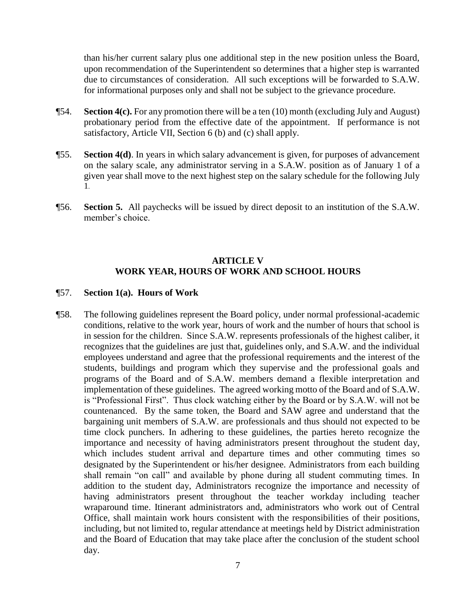than his/her current salary plus one additional step in the new position unless the Board, upon recommendation of the Superintendent so determines that a higher step is warranted due to circumstances of consideration. All such exceptions will be forwarded to S.A.W. for informational purposes only and shall not be subject to the grievance procedure.

- ¶54. **Section 4(c).** For any promotion there will be a ten (10) month (excluding July and August) probationary period from the effective date of the appointment. If performance is not satisfactory, Article VII, Section 6 (b) and (c) shall apply.
- ¶55. **Section 4(d)**. In years in which salary advancement is given, for purposes of advancement on the salary scale, any administrator serving in a S.A.W. position as of January 1 of a given year shall move to the next highest step on the salary schedule for the following July 1.
- ¶56. **Section 5.** All paychecks will be issued by direct deposit to an institution of the S.A.W. member's choice.

#### **ARTICLE V WORK YEAR, HOURS OF WORK AND SCHOOL HOURS**

#### ¶57. **Section 1(a). Hours of Work**

¶58. The following guidelines represent the Board policy, under normal professional-academic conditions, relative to the work year, hours of work and the number of hours that school is in session for the children. Since S.A.W. represents professionals of the highest caliber, it recognizes that the guidelines are just that, guidelines only, and S.A.W. and the individual employees understand and agree that the professional requirements and the interest of the students, buildings and program which they supervise and the professional goals and programs of the Board and of S.A.W. members demand a flexible interpretation and implementation of these guidelines. The agreed working motto of the Board and of S.A.W. is "Professional First". Thus clock watching either by the Board or by S.A.W. will not be countenanced. By the same token, the Board and SAW agree and understand that the bargaining unit members of S.A.W. are professionals and thus should not expected to be time clock punchers. In adhering to these guidelines, the parties hereto recognize the importance and necessity of having administrators present throughout the student day, which includes student arrival and departure times and other commuting times so designated by the Superintendent or his/her designee. Administrators from each building shall remain "on call" and available by phone during all student commuting times. In addition to the student day, Administrators recognize the importance and necessity of having administrators present throughout the teacher workday including teacher wraparound time. Itinerant administrators and, administrators who work out of Central Office, shall maintain work hours consistent with the responsibilities of their positions, including, but not limited to, regular attendance at meetings held by District administration and the Board of Education that may take place after the conclusion of the student school day.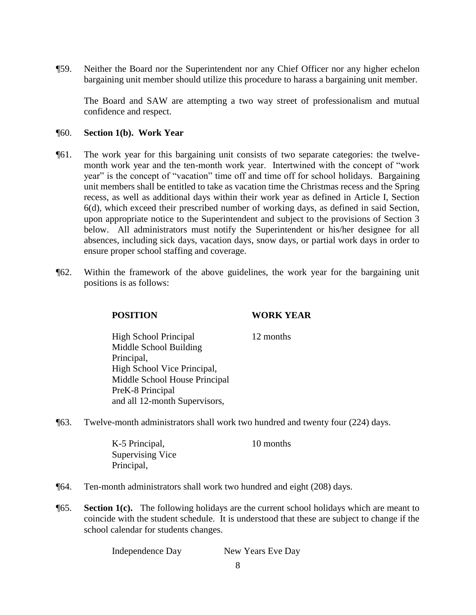¶59. Neither the Board nor the Superintendent nor any Chief Officer nor any higher echelon bargaining unit member should utilize this procedure to harass a bargaining unit member.

The Board and SAW are attempting a two way street of professionalism and mutual confidence and respect.

#### ¶60. **Section 1(b). Work Year**

- ¶61. The work year for this bargaining unit consists of two separate categories: the twelvemonth work year and the ten-month work year. Intertwined with the concept of "work year" is the concept of "vacation" time off and time off for school holidays. Bargaining unit members shall be entitled to take as vacation time the Christmas recess and the Spring recess, as well as additional days within their work year as defined in Article I, Section 6(d), which exceed their prescribed number of working days, as defined in said Section, upon appropriate notice to the Superintendent and subject to the provisions of Section 3 below. All administrators must notify the Superintendent or his/her designee for all absences, including sick days, vacation days, snow days, or partial work days in order to ensure proper school staffing and coverage.
- ¶62. Within the framework of the above guidelines, the work year for the bargaining unit positions is as follows:

## **POSITION WORK YEAR**

High School Principal 12 months Middle School Building Principal, High School Vice Principal, Middle School House Principal PreK-8 Principal and all 12-month Supervisors,

¶63. Twelve-month administrators shall work two hundred and twenty four (224) days.

K-5 Principal, 10 months Supervising Vice Principal,

- ¶64. Ten-month administrators shall work two hundred and eight (208) days.
- ¶65. **Section 1(c).** The following holidays are the current school holidays which are meant to coincide with the student schedule. It is understood that these are subject to change if the school calendar for students changes.

Independence Day New Years Eve Day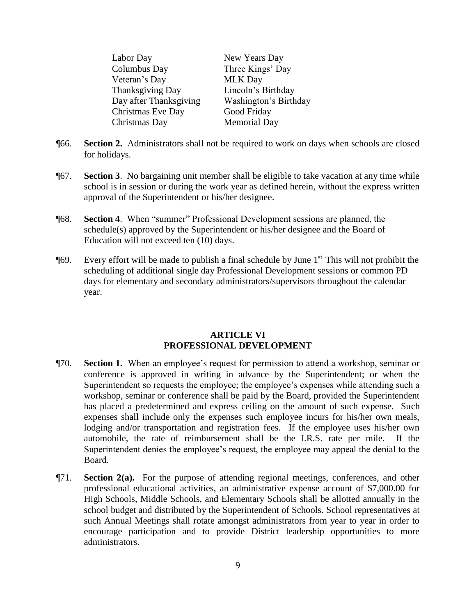| New Years Day         |
|-----------------------|
| Three Kings' Day      |
| <b>MLK Day</b>        |
| Lincoln's Birthday    |
| Washington's Birthday |
| Good Friday           |
| <b>Memorial Day</b>   |
|                       |

- ¶66. **Section 2.** Administrators shall not be required to work on days when schools are closed for holidays.
- ¶67. **Section 3**. No bargaining unit member shall be eligible to take vacation at any time while school is in session or during the work year as defined herein, without the express written approval of the Superintendent or his/her designee.
- ¶68. **Section 4**. When "summer" Professional Development sessions are planned, the schedule(s) approved by the Superintendent or his/her designee and the Board of Education will not exceed ten (10) days.
- **[69.** Every effort will be made to publish a final schedule by June 1<sup>st.</sup> This will not prohibit the scheduling of additional single day Professional Development sessions or common PD days for elementary and secondary administrators/supervisors throughout the calendar year.

#### **ARTICLE VI PROFESSIONAL DEVELOPMENT**

- ¶70. **Section 1.** When an employee's request for permission to attend a workshop, seminar or conference is approved in writing in advance by the Superintendent; or when the Superintendent so requests the employee; the employee's expenses while attending such a workshop, seminar or conference shall be paid by the Board, provided the Superintendent has placed a predetermined and express ceiling on the amount of such expense. Such expenses shall include only the expenses such employee incurs for his/her own meals, lodging and/or transportation and registration fees. If the employee uses his/her own automobile, the rate of reimbursement shall be the I.R.S. rate per mile. If the Superintendent denies the employee's request, the employee may appeal the denial to the Board.
- ¶71. **Section 2(a).** For the purpose of attending regional meetings, conferences, and other professional educational activities, an administrative expense account of \$7,000.00 for High Schools, Middle Schools, and Elementary Schools shall be allotted annually in the school budget and distributed by the Superintendent of Schools. School representatives at such Annual Meetings shall rotate amongst administrators from year to year in order to encourage participation and to provide District leadership opportunities to more administrators.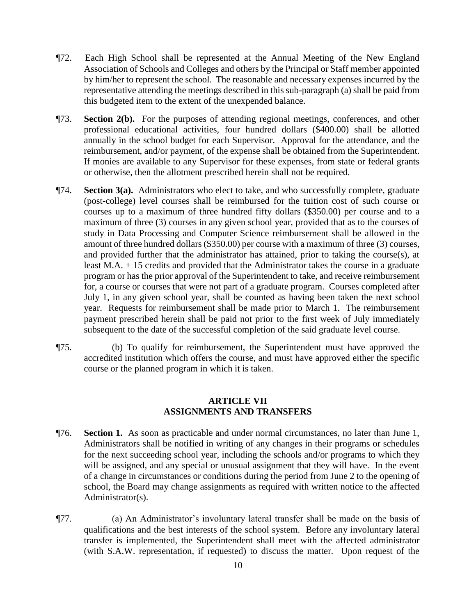- ¶72. Each High School shall be represented at the Annual Meeting of the New England Association of Schools and Colleges and others by the Principal or Staff member appointed by him/her to represent the school. The reasonable and necessary expenses incurred by the representative attending the meetings described in this sub-paragraph (a) shall be paid from this budgeted item to the extent of the unexpended balance.
- ¶73. **Section 2(b).** For the purposes of attending regional meetings, conferences, and other professional educational activities, four hundred dollars (\$400.00) shall be allotted annually in the school budget for each Supervisor. Approval for the attendance, and the reimbursement, and/or payment, of the expense shall be obtained from the Superintendent. If monies are available to any Supervisor for these expenses, from state or federal grants or otherwise, then the allotment prescribed herein shall not be required.
- ¶74. **Section 3(a).** Administrators who elect to take, and who successfully complete, graduate (post-college) level courses shall be reimbursed for the tuition cost of such course or courses up to a maximum of three hundred fifty dollars (\$350.00) per course and to a maximum of three (3) courses in any given school year, provided that as to the courses of study in Data Processing and Computer Science reimbursement shall be allowed in the amount of three hundred dollars (\$350.00) per course with a maximum of three (3) courses, and provided further that the administrator has attained, prior to taking the course(s), at least M.A. + 15 credits and provided that the Administrator takes the course in a graduate program or has the prior approval of the Superintendent to take, and receive reimbursement for, a course or courses that were not part of a graduate program. Courses completed after July 1, in any given school year, shall be counted as having been taken the next school year. Requests for reimbursement shall be made prior to March 1. The reimbursement payment prescribed herein shall be paid not prior to the first week of July immediately subsequent to the date of the successful completion of the said graduate level course.
- ¶75. (b) To qualify for reimbursement, the Superintendent must have approved the accredited institution which offers the course, and must have approved either the specific course or the planned program in which it is taken.

#### **ARTICLE VII ASSIGNMENTS AND TRANSFERS**

- ¶76. **Section 1.** As soon as practicable and under normal circumstances, no later than June 1, Administrators shall be notified in writing of any changes in their programs or schedules for the next succeeding school year, including the schools and/or programs to which they will be assigned, and any special or unusual assignment that they will have. In the event of a change in circumstances or conditions during the period from June 2 to the opening of school, the Board may change assignments as required with written notice to the affected Administrator(s).
- ¶77. (a) An Administrator's involuntary lateral transfer shall be made on the basis of qualifications and the best interests of the school system. Before any involuntary lateral transfer is implemented, the Superintendent shall meet with the affected administrator (with S.A.W. representation, if requested) to discuss the matter. Upon request of the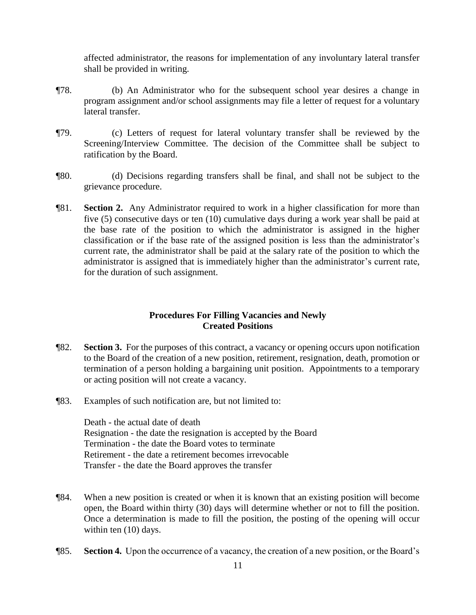affected administrator, the reasons for implementation of any involuntary lateral transfer shall be provided in writing.

- ¶78. (b) An Administrator who for the subsequent school year desires a change in program assignment and/or school assignments may file a letter of request for a voluntary lateral transfer.
- ¶79. (c) Letters of request for lateral voluntary transfer shall be reviewed by the Screening/Interview Committee. The decision of the Committee shall be subject to ratification by the Board.
- ¶80. (d) Decisions regarding transfers shall be final, and shall not be subject to the grievance procedure.
- ¶81. **Section 2.** Any Administrator required to work in a higher classification for more than five (5) consecutive days or ten (10) cumulative days during a work year shall be paid at the base rate of the position to which the administrator is assigned in the higher classification or if the base rate of the assigned position is less than the administrator's current rate, the administrator shall be paid at the salary rate of the position to which the administrator is assigned that is immediately higher than the administrator's current rate, for the duration of such assignment.

#### **Procedures For Filling Vacancies and Newly Created Positions**

- ¶82. **Section 3.** For the purposes of this contract, a vacancy or opening occurs upon notification to the Board of the creation of a new position, retirement, resignation, death, promotion or termination of a person holding a bargaining unit position. Appointments to a temporary or acting position will not create a vacancy.
- ¶83. Examples of such notification are, but not limited to:

Death - the actual date of death Resignation - the date the resignation is accepted by the Board Termination - the date the Board votes to terminate Retirement - the date a retirement becomes irrevocable Transfer - the date the Board approves the transfer

- ¶84. When a new position is created or when it is known that an existing position will become open, the Board within thirty (30) days will determine whether or not to fill the position. Once a determination is made to fill the position, the posting of the opening will occur within ten (10) days.
- ¶85. **Section 4.** Upon the occurrence of a vacancy, the creation of a new position, or the Board's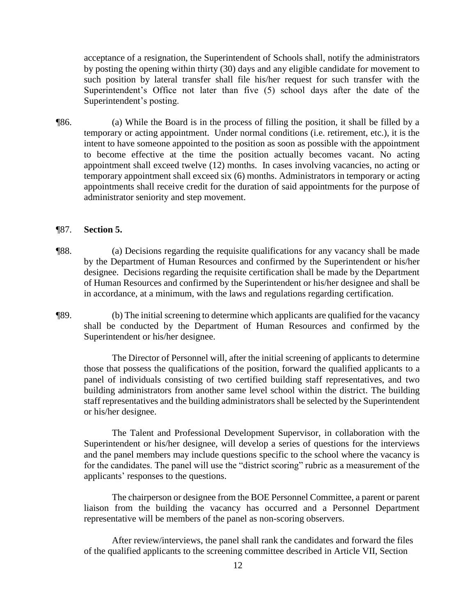acceptance of a resignation, the Superintendent of Schools shall, notify the administrators by posting the opening within thirty (30) days and any eligible candidate for movement to such position by lateral transfer shall file his/her request for such transfer with the Superintendent's Office not later than five (5) school days after the date of the Superintendent's posting.

¶86. (a) While the Board is in the process of filling the position, it shall be filled by a temporary or acting appointment. Under normal conditions (i.e. retirement, etc.), it is the intent to have someone appointed to the position as soon as possible with the appointment to become effective at the time the position actually becomes vacant. No acting appointment shall exceed twelve (12) months. In cases involving vacancies, no acting or temporary appointment shall exceed six (6) months. Administrators in temporary or acting appointments shall receive credit for the duration of said appointments for the purpose of administrator seniority and step movement.

#### ¶87. **Section 5.**

- ¶88. (a) Decisions regarding the requisite qualifications for any vacancy shall be made by the Department of Human Resources and confirmed by the Superintendent or his/her designee. Decisions regarding the requisite certification shall be made by the Department of Human Resources and confirmed by the Superintendent or his/her designee and shall be in accordance, at a minimum, with the laws and regulations regarding certification.
- ¶89. (b) The initial screening to determine which applicants are qualified for the vacancy shall be conducted by the Department of Human Resources and confirmed by the Superintendent or his/her designee.

The Director of Personnel will, after the initial screening of applicants to determine those that possess the qualifications of the position, forward the qualified applicants to a panel of individuals consisting of two certified building staff representatives, and two building administrators from another same level school within the district. The building staff representatives and the building administrators shall be selected by the Superintendent or his/her designee.

The Talent and Professional Development Supervisor, in collaboration with the Superintendent or his/her designee, will develop a series of questions for the interviews and the panel members may include questions specific to the school where the vacancy is for the candidates. The panel will use the "district scoring" rubric as a measurement of the applicants' responses to the questions.

The chairperson or designee from the BOE Personnel Committee, a parent or parent liaison from the building the vacancy has occurred and a Personnel Department representative will be members of the panel as non-scoring observers.

After review/interviews, the panel shall rank the candidates and forward the files of the qualified applicants to the screening committee described in Article VII, Section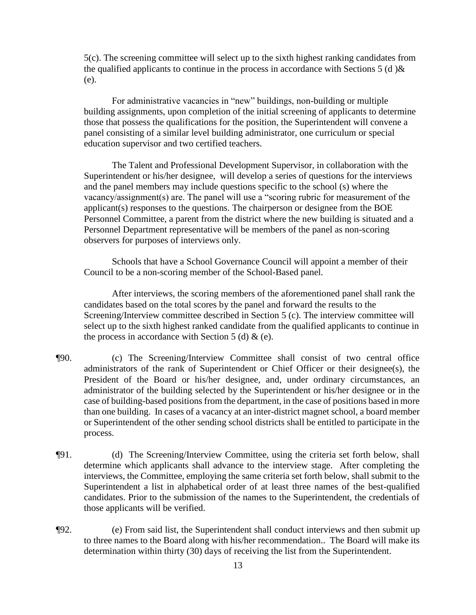5(c). The screening committee will select up to the sixth highest ranking candidates from the qualified applicants to continue in the process in accordance with Sections 5 (d)  $\&$ (e).

For administrative vacancies in "new" buildings, non-building or multiple building assignments, upon completion of the initial screening of applicants to determine those that possess the qualifications for the position, the Superintendent will convene a panel consisting of a similar level building administrator, one curriculum or special education supervisor and two certified teachers.

The Talent and Professional Development Supervisor, in collaboration with the Superintendent or his/her designee, will develop a series of questions for the interviews and the panel members may include questions specific to the school (s) where the vacancy/assignment(s) are. The panel will use a "scoring rubric for measurement of the applicant(s) responses to the questions. The chairperson or designee from the BOE Personnel Committee, a parent from the district where the new building is situated and a Personnel Department representative will be members of the panel as non-scoring observers for purposes of interviews only.

Schools that have a School Governance Council will appoint a member of their Council to be a non-scoring member of the School-Based panel.

After interviews, the scoring members of the aforementioned panel shall rank the candidates based on the total scores by the panel and forward the results to the Screening/Interview committee described in Section 5 (c). The interview committee will select up to the sixth highest ranked candidate from the qualified applicants to continue in the process in accordance with Section 5 (d)  $\&$  (e).

- ¶90. (c) The Screening/Interview Committee shall consist of two central office administrators of the rank of Superintendent or Chief Officer or their designee(s), the President of the Board or his/her designee, and, under ordinary circumstances, an administrator of the building selected by the Superintendent or his/her designee or in the case of building-based positions from the department, in the case of positions based in more than one building. In cases of a vacancy at an inter-district magnet school, a board member or Superintendent of the other sending school districts shall be entitled to participate in the process.
- ¶91. (d) The Screening/Interview Committee, using the criteria set forth below, shall determine which applicants shall advance to the interview stage. After completing the interviews, the Committee, employing the same criteria set forth below, shall submit to the Superintendent a list in alphabetical order of at least three names of the best-qualified candidates. Prior to the submission of the names to the Superintendent, the credentials of those applicants will be verified.
- ¶92. (e) From said list, the Superintendent shall conduct interviews and then submit up to three names to the Board along with his/her recommendation.. The Board will make its determination within thirty (30) days of receiving the list from the Superintendent.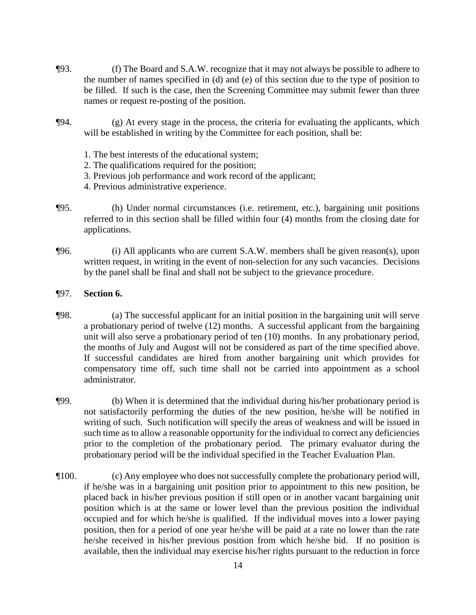- ¶93. (f) The Board and S.A.W. recognize that it may not always be possible to adhere to the number of names specified in (d) and (e) of this section due to the type of position to be filled. If such is the case, then the Screening Committee may submit fewer than three names or request re-posting of the position.
- ¶94. (g) At every stage in the process, the criteria for evaluating the applicants, which will be established in writing by the Committee for each position, shall be:
	- 1. The best interests of the educational system;
	- 2. The qualifications required for the position;
	- 3. Previous job performance and work record of the applicant;
	- 4. Previous administrative experience.
- ¶95. (h) Under normal circumstances (i.e. retirement, etc.), bargaining unit positions referred to in this section shall be filled within four (4) months from the closing date for applications.
- ¶96. (i) All applicants who are current S.A.W. members shall be given reason(s), upon written request, in writing in the event of non-selection for any such vacancies. Decisions by the panel shall be final and shall not be subject to the grievance procedure.
- ¶97. **Section 6.**
- ¶98. (a) The successful applicant for an initial position in the bargaining unit will serve a probationary period of twelve (12) months. A successful applicant from the bargaining unit will also serve a probationary period of ten (10) months. In any probationary period, the months of July and August will not be considered as part of the time specified above. If successful candidates are hired from another bargaining unit which provides for compensatory time off, such time shall not be carried into appointment as a school administrator.
- ¶99. (b) When it is determined that the individual during his/her probationary period is not satisfactorily performing the duties of the new position, he/she will be notified in writing of such. Such notification will specify the areas of weakness and will be issued in such time as to allow a reasonable opportunity for the individual to correct any deficiencies prior to the completion of the probationary period. The primary evaluator during the probationary period will be the individual specified in the Teacher Evaluation Plan.
- ¶100. (c) Any employee who does not successfully complete the probationary period will, if he/she was in a bargaining unit position prior to appointment to this new position, be placed back in his/her previous position if still open or in another vacant bargaining unit position which is at the same or lower level than the previous position the individual occupied and for which he/she is qualified. If the individual moves into a lower paying position, then for a period of one year he/she will be paid at a rate no lower than the rate he/she received in his/her previous position from which he/she bid. If no position is available, then the individual may exercise his/her rights pursuant to the reduction in force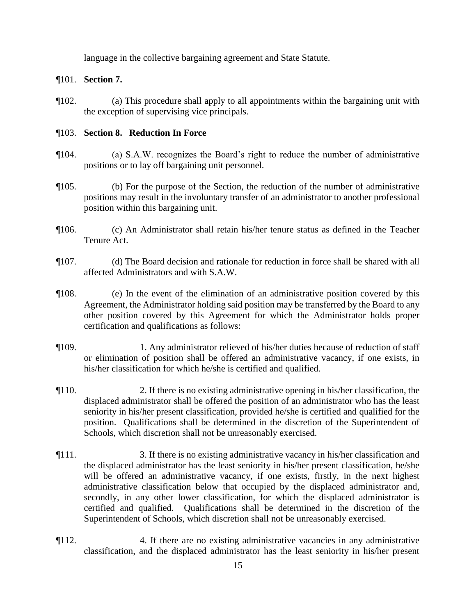language in the collective bargaining agreement and State Statute.

# ¶101. **Section 7.**

¶102. (a) This procedure shall apply to all appointments within the bargaining unit with the exception of supervising vice principals.

## ¶103. **Section 8. Reduction In Force**

- ¶104. (a) S.A.W. recognizes the Board's right to reduce the number of administrative positions or to lay off bargaining unit personnel.
- ¶105. (b) For the purpose of the Section, the reduction of the number of administrative positions may result in the involuntary transfer of an administrator to another professional position within this bargaining unit.
- ¶106. (c) An Administrator shall retain his/her tenure status as defined in the Teacher Tenure Act.
- ¶107. (d) The Board decision and rationale for reduction in force shall be shared with all affected Administrators and with S.A.W.
- ¶108. (e) In the event of the elimination of an administrative position covered by this Agreement, the Administrator holding said position may be transferred by the Board to any other position covered by this Agreement for which the Administrator holds proper certification and qualifications as follows:
- ¶109. 1. Any administrator relieved of his/her duties because of reduction of staff or elimination of position shall be offered an administrative vacancy, if one exists, in his/her classification for which he/she is certified and qualified.
- ¶110. 2. If there is no existing administrative opening in his/her classification, the displaced administrator shall be offered the position of an administrator who has the least seniority in his/her present classification, provided he/she is certified and qualified for the position. Qualifications shall be determined in the discretion of the Superintendent of Schools, which discretion shall not be unreasonably exercised.
- ¶111. 3. If there is no existing administrative vacancy in his/her classification and the displaced administrator has the least seniority in his/her present classification, he/she will be offered an administrative vacancy, if one exists, firstly, in the next highest administrative classification below that occupied by the displaced administrator and, secondly, in any other lower classification, for which the displaced administrator is certified and qualified. Qualifications shall be determined in the discretion of the Superintendent of Schools, which discretion shall not be unreasonably exercised.
- ¶112. 4. If there are no existing administrative vacancies in any administrative classification, and the displaced administrator has the least seniority in his/her present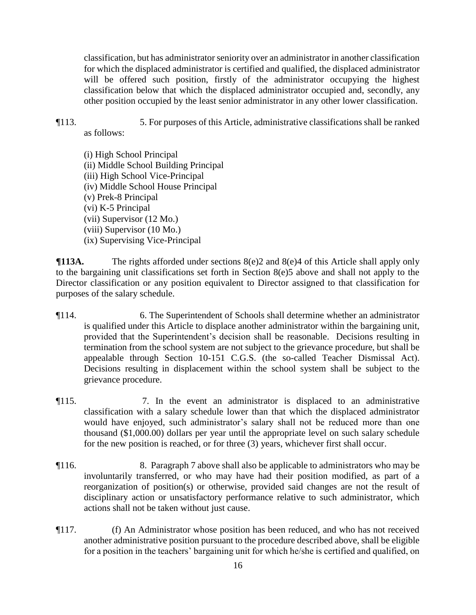classification, but has administrator seniority over an administrator in another classification for which the displaced administrator is certified and qualified, the displaced administrator will be offered such position, firstly of the administrator occupying the highest classification below that which the displaced administrator occupied and, secondly, any other position occupied by the least senior administrator in any other lower classification.

¶113. 5. For purposes of this Article, administrative classifications shall be ranked

as follows:

(i) High School Principal (ii) Middle School Building Principal (iii) High School Vice-Principal (iv) Middle School House Principal (v) Prek-8 Principal (vi) K-5 Principal (vii) Supervisor (12 Mo.) (viii) Supervisor (10 Mo.) (ix) Supervising Vice-Principal

 $\P$ **113A.** The rights afforded under sections 8(e)2 and 8(e)4 of this Article shall apply only to the bargaining unit classifications set forth in Section 8(e)5 above and shall not apply to the Director classification or any position equivalent to Director assigned to that classification for purposes of the salary schedule.

- ¶114. 6. The Superintendent of Schools shall determine whether an administrator is qualified under this Article to displace another administrator within the bargaining unit, provided that the Superintendent's decision shall be reasonable. Decisions resulting in termination from the school system are not subject to the grievance procedure, but shall be appealable through Section 10-151 C.G.S. (the so-called Teacher Dismissal Act). Decisions resulting in displacement within the school system shall be subject to the grievance procedure.
- ¶115. 7. In the event an administrator is displaced to an administrative classification with a salary schedule lower than that which the displaced administrator would have enjoyed, such administrator's salary shall not be reduced more than one thousand (\$1,000.00) dollars per year until the appropriate level on such salary schedule for the new position is reached, or for three (3) years, whichever first shall occur.
- ¶116. 8. Paragraph 7 above shall also be applicable to administrators who may be involuntarily transferred, or who may have had their position modified, as part of a reorganization of position(s) or otherwise, provided said changes are not the result of disciplinary action or unsatisfactory performance relative to such administrator, which actions shall not be taken without just cause.
- ¶117. (f) An Administrator whose position has been reduced, and who has not received another administrative position pursuant to the procedure described above, shall be eligible for a position in the teachers' bargaining unit for which he/she is certified and qualified, on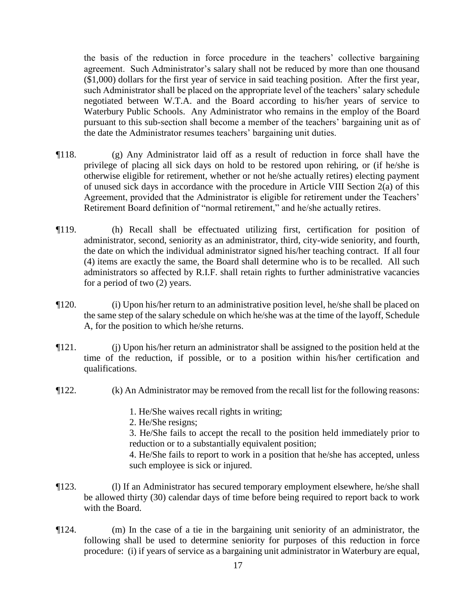the basis of the reduction in force procedure in the teachers' collective bargaining agreement. Such Administrator's salary shall not be reduced by more than one thousand (\$1,000) dollars for the first year of service in said teaching position. After the first year, such Administrator shall be placed on the appropriate level of the teachers' salary schedule negotiated between W.T.A. and the Board according to his/her years of service to Waterbury Public Schools. Any Administrator who remains in the employ of the Board pursuant to this sub-section shall become a member of the teachers' bargaining unit as of the date the Administrator resumes teachers' bargaining unit duties.

- ¶118. (g) Any Administrator laid off as a result of reduction in force shall have the privilege of placing all sick days on hold to be restored upon rehiring, or (if he/she is otherwise eligible for retirement, whether or not he/she actually retires) electing payment of unused sick days in accordance with the procedure in Article VIII Section 2(a) of this Agreement, provided that the Administrator is eligible for retirement under the Teachers' Retirement Board definition of "normal retirement," and he/she actually retires.
- ¶119. (h) Recall shall be effectuated utilizing first, certification for position of administrator, second, seniority as an administrator, third, city-wide seniority, and fourth, the date on which the individual administrator signed his/her teaching contract. If all four (4) items are exactly the same, the Board shall determine who is to be recalled. All such administrators so affected by R.I.F. shall retain rights to further administrative vacancies for a period of two (2) years.
- ¶120. (i) Upon his/her return to an administrative position level, he/she shall be placed on the same step of the salary schedule on which he/she was at the time of the layoff, Schedule A, for the position to which he/she returns.
- $\P$ 121. (i) Upon his/her return an administrator shall be assigned to the position held at the time of the reduction, if possible, or to a position within his/her certification and qualifications.
- ¶122. (k) An Administrator may be removed from the recall list for the following reasons:
	- 1. He/She waives recall rights in writing;
	- 2. He/She resigns;

3. He/She fails to accept the recall to the position held immediately prior to reduction or to a substantially equivalent position;

4. He/She fails to report to work in a position that he/she has accepted, unless such employee is sick or injured.

- ¶123. (l) If an Administrator has secured temporary employment elsewhere, he/she shall be allowed thirty (30) calendar days of time before being required to report back to work with the Board.
- ¶124. (m) In the case of a tie in the bargaining unit seniority of an administrator, the following shall be used to determine seniority for purposes of this reduction in force procedure: (i) if years of service as a bargaining unit administrator in Waterbury are equal,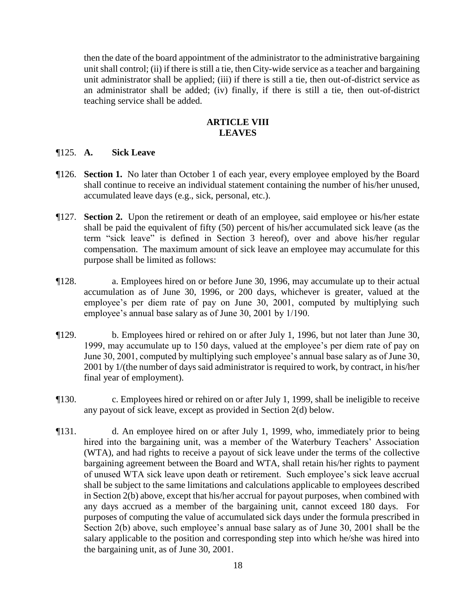then the date of the board appointment of the administrator to the administrative bargaining unit shall control; (ii) if there is still a tie, then City-wide service as a teacher and bargaining unit administrator shall be applied; (iii) if there is still a tie, then out-of-district service as an administrator shall be added; (iv) finally, if there is still a tie, then out-of-district teaching service shall be added.

## **ARTICLE VIII LEAVES**

#### ¶125. **A. Sick Leave**

- ¶126. **Section 1.** No later than October 1 of each year, every employee employed by the Board shall continue to receive an individual statement containing the number of his/her unused, accumulated leave days (e.g., sick, personal, etc.).
- ¶127. **Section 2.** Upon the retirement or death of an employee, said employee or his/her estate shall be paid the equivalent of fifty (50) percent of his/her accumulated sick leave (as the term "sick leave" is defined in Section 3 hereof), over and above his/her regular compensation. The maximum amount of sick leave an employee may accumulate for this purpose shall be limited as follows:
- ¶128. a. Employees hired on or before June 30, 1996, may accumulate up to their actual accumulation as of June 30, 1996, or 200 days, whichever is greater, valued at the employee's per diem rate of pay on June 30, 2001, computed by multiplying such employee's annual base salary as of June 30, 2001 by 1/190.
- ¶129. b. Employees hired or rehired on or after July 1, 1996, but not later than June 30, 1999, may accumulate up to 150 days, valued at the employee's per diem rate of pay on June 30, 2001, computed by multiplying such employee's annual base salary as of June 30, 2001 by 1/(the number of days said administrator is required to work, by contract, in his/her final year of employment).
- ¶130. c. Employees hired or rehired on or after July 1, 1999, shall be ineligible to receive any payout of sick leave, except as provided in Section 2(d) below.
- ¶131. d. An employee hired on or after July 1, 1999, who, immediately prior to being hired into the bargaining unit, was a member of the Waterbury Teachers' Association (WTA), and had rights to receive a payout of sick leave under the terms of the collective bargaining agreement between the Board and WTA, shall retain his/her rights to payment of unused WTA sick leave upon death or retirement. Such employee's sick leave accrual shall be subject to the same limitations and calculations applicable to employees described in Section 2(b) above, except that his/her accrual for payout purposes, when combined with any days accrued as a member of the bargaining unit, cannot exceed 180 days. For purposes of computing the value of accumulated sick days under the formula prescribed in Section 2(b) above, such employee's annual base salary as of June 30, 2001 shall be the salary applicable to the position and corresponding step into which he/she was hired into the bargaining unit, as of June 30, 2001.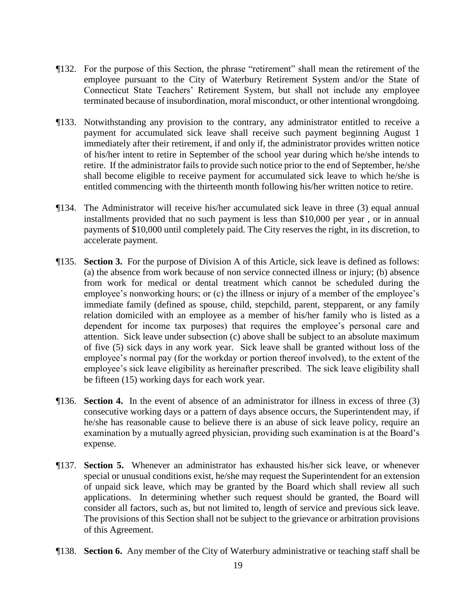- ¶132. For the purpose of this Section, the phrase "retirement" shall mean the retirement of the employee pursuant to the City of Waterbury Retirement System and/or the State of Connecticut State Teachers' Retirement System, but shall not include any employee terminated because of insubordination, moral misconduct, or other intentional wrongdoing.
- ¶133. Notwithstanding any provision to the contrary, any administrator entitled to receive a payment for accumulated sick leave shall receive such payment beginning August 1 immediately after their retirement, if and only if, the administrator provides written notice of his/her intent to retire in September of the school year during which he/she intends to retire. If the administrator fails to provide such notice prior to the end of September, he/she shall become eligible to receive payment for accumulated sick leave to which he/she is entitled commencing with the thirteenth month following his/her written notice to retire.
- ¶134. The Administrator will receive his/her accumulated sick leave in three (3) equal annual installments provided that no such payment is less than \$10,000 per year , or in annual payments of \$10,000 until completely paid. The City reserves the right, in its discretion, to accelerate payment.
- ¶135. **Section 3.** For the purpose of Division A of this Article, sick leave is defined as follows: (a) the absence from work because of non service connected illness or injury; (b) absence from work for medical or dental treatment which cannot be scheduled during the employee's nonworking hours; or (c) the illness or injury of a member of the employee's immediate family (defined as spouse, child, stepchild, parent, stepparent, or any family relation domiciled with an employee as a member of his/her family who is listed as a dependent for income tax purposes) that requires the employee's personal care and attention. Sick leave under subsection (c) above shall be subject to an absolute maximum of five (5) sick days in any work year. Sick leave shall be granted without loss of the employee's normal pay (for the workday or portion thereof involved), to the extent of the employee's sick leave eligibility as hereinafter prescribed. The sick leave eligibility shall be fifteen (15) working days for each work year.
- ¶136. **Section 4.** In the event of absence of an administrator for illness in excess of three (3) consecutive working days or a pattern of days absence occurs, the Superintendent may, if he/she has reasonable cause to believe there is an abuse of sick leave policy, require an examination by a mutually agreed physician, providing such examination is at the Board's expense.
- ¶137. **Section 5.** Whenever an administrator has exhausted his/her sick leave, or whenever special or unusual conditions exist, he/she may request the Superintendent for an extension of unpaid sick leave, which may be granted by the Board which shall review all such applications. In determining whether such request should be granted, the Board will consider all factors, such as, but not limited to, length of service and previous sick leave. The provisions of this Section shall not be subject to the grievance or arbitration provisions of this Agreement.
- ¶138. **Section 6.** Any member of the City of Waterbury administrative or teaching staff shall be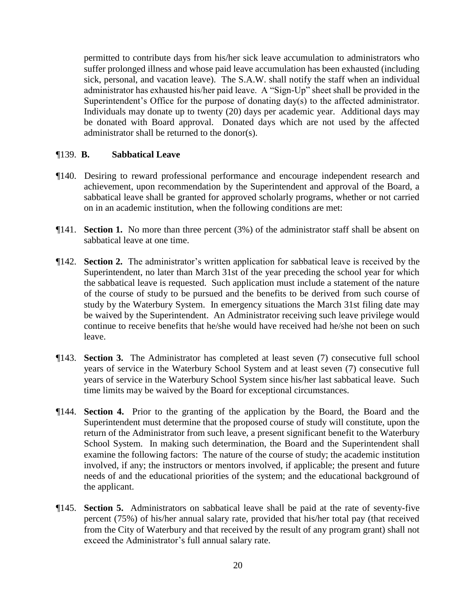permitted to contribute days from his/her sick leave accumulation to administrators who suffer prolonged illness and whose paid leave accumulation has been exhausted (including sick, personal, and vacation leave). The S.A.W. shall notify the staff when an individual administrator has exhausted his/her paid leave. A "Sign-Up" sheet shall be provided in the Superintendent's Office for the purpose of donating day(s) to the affected administrator. Individuals may donate up to twenty (20) days per academic year. Additional days may be donated with Board approval. Donated days which are not used by the affected administrator shall be returned to the donor(s).

#### ¶139. **B. Sabbatical Leave**

- ¶140. Desiring to reward professional performance and encourage independent research and achievement, upon recommendation by the Superintendent and approval of the Board, a sabbatical leave shall be granted for approved scholarly programs, whether or not carried on in an academic institution, when the following conditions are met:
- ¶141. **Section 1.** No more than three percent (3%) of the administrator staff shall be absent on sabbatical leave at one time.
- ¶142. **Section 2.** The administrator's written application for sabbatical leave is received by the Superintendent, no later than March 31st of the year preceding the school year for which the sabbatical leave is requested. Such application must include a statement of the nature of the course of study to be pursued and the benefits to be derived from such course of study by the Waterbury System. In emergency situations the March 31st filing date may be waived by the Superintendent. An Administrator receiving such leave privilege would continue to receive benefits that he/she would have received had he/she not been on such leave.
- ¶143. **Section 3.** The Administrator has completed at least seven (7) consecutive full school years of service in the Waterbury School System and at least seven (7) consecutive full years of service in the Waterbury School System since his/her last sabbatical leave. Such time limits may be waived by the Board for exceptional circumstances.
- ¶144. **Section 4.** Prior to the granting of the application by the Board, the Board and the Superintendent must determine that the proposed course of study will constitute, upon the return of the Administrator from such leave, a present significant benefit to the Waterbury School System. In making such determination, the Board and the Superintendent shall examine the following factors: The nature of the course of study; the academic institution involved, if any; the instructors or mentors involved, if applicable; the present and future needs of and the educational priorities of the system; and the educational background of the applicant.
- ¶145. **Section 5.** Administrators on sabbatical leave shall be paid at the rate of seventy-five percent (75%) of his/her annual salary rate, provided that his/her total pay (that received from the City of Waterbury and that received by the result of any program grant) shall not exceed the Administrator's full annual salary rate.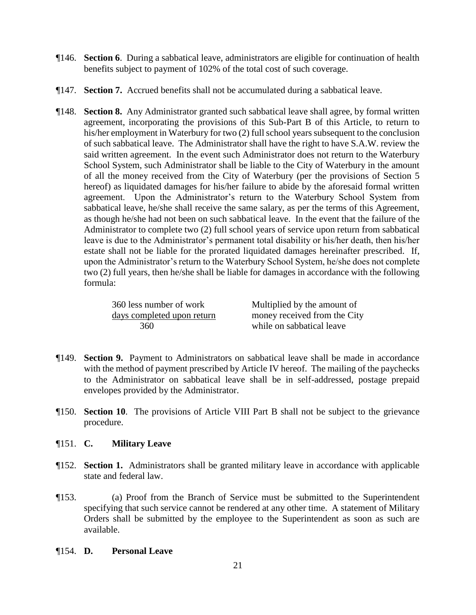- ¶146. **Section 6**. During a sabbatical leave, administrators are eligible for continuation of health benefits subject to payment of 102% of the total cost of such coverage.
- ¶147. **Section 7.** Accrued benefits shall not be accumulated during a sabbatical leave.
- ¶148. **Section 8.** Any Administrator granted such sabbatical leave shall agree, by formal written agreement, incorporating the provisions of this Sub-Part B of this Article, to return to his/her employment in Waterbury for two (2) full school years subsequent to the conclusion of such sabbatical leave. The Administrator shall have the right to have S.A.W. review the said written agreement. In the event such Administrator does not return to the Waterbury School System, such Administrator shall be liable to the City of Waterbury in the amount of all the money received from the City of Waterbury (per the provisions of Section 5 hereof) as liquidated damages for his/her failure to abide by the aforesaid formal written agreement. Upon the Administrator's return to the Waterbury School System from sabbatical leave, he/she shall receive the same salary, as per the terms of this Agreement, as though he/she had not been on such sabbatical leave. In the event that the failure of the Administrator to complete two (2) full school years of service upon return from sabbatical leave is due to the Administrator's permanent total disability or his/her death, then his/her estate shall not be liable for the prorated liquidated damages hereinafter prescribed. If, upon the Administrator's return to the Waterbury School System, he/she does not complete two (2) full years, then he/she shall be liable for damages in accordance with the following formula:

| 360 less number of work    | Multiplied by the amount of  |
|----------------------------|------------------------------|
| days completed upon return | money received from the City |
| 360                        | while on sabbatical leave    |

- ¶149. **Section 9.** Payment to Administrators on sabbatical leave shall be made in accordance with the method of payment prescribed by Article IV hereof. The mailing of the paychecks to the Administrator on sabbatical leave shall be in self-addressed, postage prepaid envelopes provided by the Administrator.
- ¶150. **Section 10**. The provisions of Article VIII Part B shall not be subject to the grievance procedure.

# ¶151. **C. Military Leave**

- ¶152. **Section 1.** Administrators shall be granted military leave in accordance with applicable state and federal law.
- ¶153. (a) Proof from the Branch of Service must be submitted to the Superintendent specifying that such service cannot be rendered at any other time. A statement of Military Orders shall be submitted by the employee to the Superintendent as soon as such are available.

#### ¶154. **D. Personal Leave**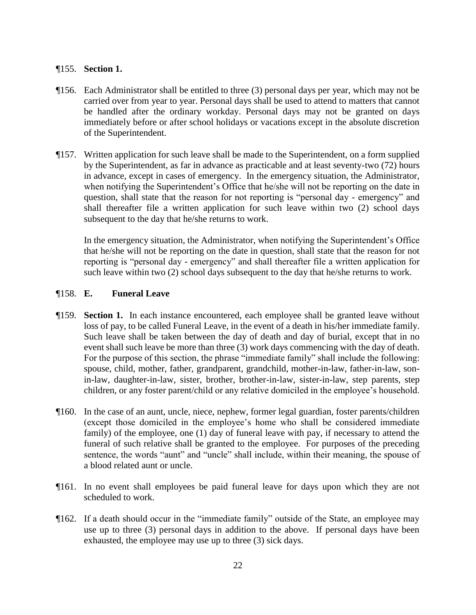#### ¶155. **Section 1.**

- ¶156. Each Administrator shall be entitled to three (3) personal days per year, which may not be carried over from year to year. Personal days shall be used to attend to matters that cannot be handled after the ordinary workday. Personal days may not be granted on days immediately before or after school holidays or vacations except in the absolute discretion of the Superintendent.
- ¶157. Written application for such leave shall be made to the Superintendent, on a form supplied by the Superintendent, as far in advance as practicable and at least seventy-two (72) hours in advance, except in cases of emergency. In the emergency situation, the Administrator, when notifying the Superintendent's Office that he/she will not be reporting on the date in question, shall state that the reason for not reporting is "personal day - emergency" and shall thereafter file a written application for such leave within two (2) school days subsequent to the day that he/she returns to work.

In the emergency situation, the Administrator, when notifying the Superintendent's Office that he/she will not be reporting on the date in question, shall state that the reason for not reporting is "personal day - emergency" and shall thereafter file a written application for such leave within two (2) school days subsequent to the day that he/she returns to work.

#### ¶158. **E. Funeral Leave**

- ¶159. **Section 1.** In each instance encountered, each employee shall be granted leave without loss of pay, to be called Funeral Leave, in the event of a death in his/her immediate family. Such leave shall be taken between the day of death and day of burial, except that in no event shall such leave be more than three (3) work days commencing with the day of death. For the purpose of this section, the phrase "immediate family" shall include the following: spouse, child, mother, father, grandparent, grandchild, mother-in-law, father-in-law, sonin-law, daughter-in-law, sister, brother, brother-in-law, sister-in-law, step parents, step children, or any foster parent/child or any relative domiciled in the employee's household.
- ¶160. In the case of an aunt, uncle, niece, nephew, former legal guardian, foster parents/children (except those domiciled in the employee's home who shall be considered immediate family) of the employee, one (1) day of funeral leave with pay, if necessary to attend the funeral of such relative shall be granted to the employee. For purposes of the preceding sentence, the words "aunt" and "uncle" shall include, within their meaning, the spouse of a blood related aunt or uncle.
- ¶161. In no event shall employees be paid funeral leave for days upon which they are not scheduled to work.
- ¶162. If a death should occur in the "immediate family" outside of the State, an employee may use up to three (3) personal days in addition to the above. If personal days have been exhausted, the employee may use up to three (3) sick days.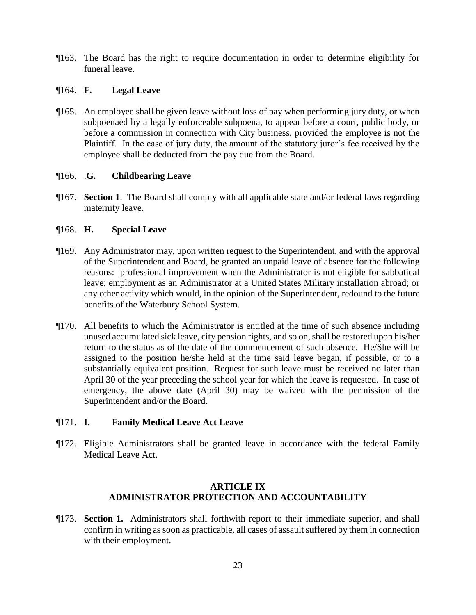¶163. The Board has the right to require documentation in order to determine eligibility for funeral leave.

## ¶164. **F. Legal Leave**

¶165. An employee shall be given leave without loss of pay when performing jury duty, or when subpoenaed by a legally enforceable subpoena, to appear before a court, public body, or before a commission in connection with City business, provided the employee is not the Plaintiff. In the case of jury duty, the amount of the statutory juror's fee received by the employee shall be deducted from the pay due from the Board.

# ¶166. .**G. Childbearing Leave**

¶167. **Section 1**. The Board shall comply with all applicable state and/or federal laws regarding maternity leave.

# ¶168. **H. Special Leave**

- ¶169. Any Administrator may, upon written request to the Superintendent, and with the approval of the Superintendent and Board, be granted an unpaid leave of absence for the following reasons: professional improvement when the Administrator is not eligible for sabbatical leave; employment as an Administrator at a United States Military installation abroad; or any other activity which would, in the opinion of the Superintendent, redound to the future benefits of the Waterbury School System.
- ¶170. All benefits to which the Administrator is entitled at the time of such absence including unused accumulated sick leave, city pension rights, and so on, shall be restored upon his/her return to the status as of the date of the commencement of such absence. He/She will be assigned to the position he/she held at the time said leave began, if possible, or to a substantially equivalent position. Request for such leave must be received no later than April 30 of the year preceding the school year for which the leave is requested. In case of emergency, the above date (April 30) may be waived with the permission of the Superintendent and/or the Board.

#### ¶171. **I. Family Medical Leave Act Leave**

¶172. Eligible Administrators shall be granted leave in accordance with the federal Family Medical Leave Act.

# **ARTICLE IX ADMINISTRATOR PROTECTION AND ACCOUNTABILITY**

¶173. **Section 1.** Administrators shall forthwith report to their immediate superior, and shall confirm in writing as soon as practicable, all cases of assault suffered by them in connection with their employment.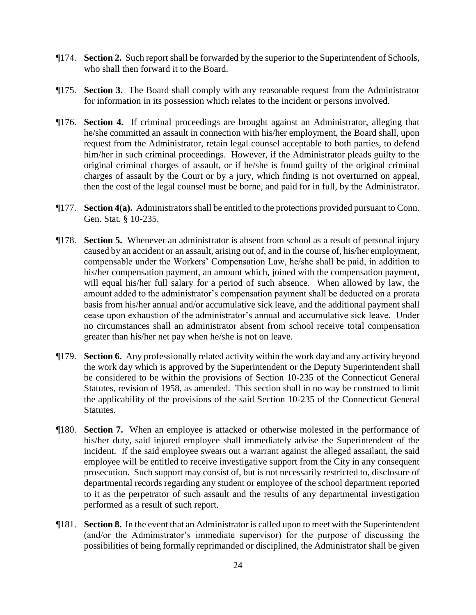- ¶174. **Section 2.** Such report shall be forwarded by the superior to the Superintendent of Schools, who shall then forward it to the Board.
- ¶175. **Section 3.** The Board shall comply with any reasonable request from the Administrator for information in its possession which relates to the incident or persons involved.
- ¶176. **Section 4.** If criminal proceedings are brought against an Administrator, alleging that he/she committed an assault in connection with his/her employment, the Board shall, upon request from the Administrator, retain legal counsel acceptable to both parties, to defend him/her in such criminal proceedings. However, if the Administrator pleads guilty to the original criminal charges of assault, or if he/she is found guilty of the original criminal charges of assault by the Court or by a jury, which finding is not overturned on appeal, then the cost of the legal counsel must be borne, and paid for in full, by the Administrator.
- ¶177. **Section 4(a).** Administrators shall be entitled to the protections provided pursuant to Conn. Gen. Stat. § 10-235.
- ¶178. **Section 5.** Whenever an administrator is absent from school as a result of personal injury caused by an accident or an assault, arising out of, and in the course of, his/her employment, compensable under the Workers' Compensation Law, he/she shall be paid, in addition to his/her compensation payment, an amount which, joined with the compensation payment, will equal his/her full salary for a period of such absence. When allowed by law, the amount added to the administrator's compensation payment shall be deducted on a prorata basis from his/her annual and/or accumulative sick leave, and the additional payment shall cease upon exhaustion of the administrator's annual and accumulative sick leave. Under no circumstances shall an administrator absent from school receive total compensation greater than his/her net pay when he/she is not on leave.
- ¶179. **Section 6.** Any professionally related activity within the work day and any activity beyond the work day which is approved by the Superintendent or the Deputy Superintendent shall be considered to be within the provisions of Section 10-235 of the Connecticut General Statutes, revision of 1958, as amended. This section shall in no way be construed to limit the applicability of the provisions of the said Section 10-235 of the Connecticut General Statutes.
- ¶180. **Section 7.** When an employee is attacked or otherwise molested in the performance of his/her duty, said injured employee shall immediately advise the Superintendent of the incident. If the said employee swears out a warrant against the alleged assailant, the said employee will be entitled to receive investigative support from the City in any consequent prosecution. Such support may consist of, but is not necessarily restricted to, disclosure of departmental records regarding any student or employee of the school department reported to it as the perpetrator of such assault and the results of any departmental investigation performed as a result of such report.
- ¶181. **Section 8.** In the event that an Administrator is called upon to meet with the Superintendent (and/or the Administrator's immediate supervisor) for the purpose of discussing the possibilities of being formally reprimanded or disciplined, the Administrator shall be given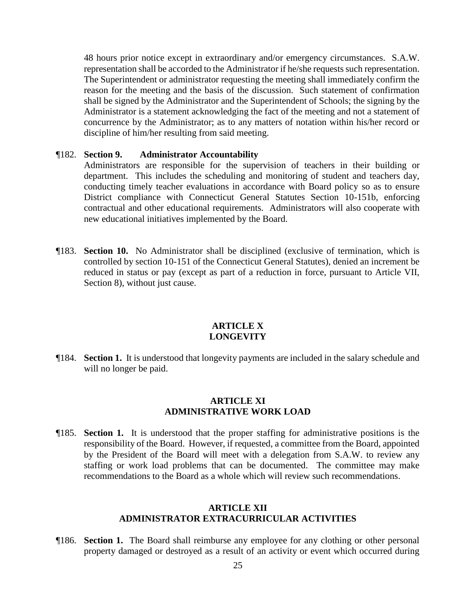48 hours prior notice except in extraordinary and/or emergency circumstances. S.A.W. representation shall be accorded to the Administrator if he/she requests such representation. The Superintendent or administrator requesting the meeting shall immediately confirm the reason for the meeting and the basis of the discussion. Such statement of confirmation shall be signed by the Administrator and the Superintendent of Schools; the signing by the Administrator is a statement acknowledging the fact of the meeting and not a statement of concurrence by the Administrator; as to any matters of notation within his/her record or discipline of him/her resulting from said meeting.

#### ¶182. **Section 9. Administrator Accountability**

Administrators are responsible for the supervision of teachers in their building or department. This includes the scheduling and monitoring of student and teachers day, conducting timely teacher evaluations in accordance with Board policy so as to ensure District compliance with Connecticut General Statutes Section 10-151b, enforcing contractual and other educational requirements. Administrators will also cooperate with new educational initiatives implemented by the Board.

¶183. **Section 10.** No Administrator shall be disciplined (exclusive of termination, which is controlled by section 10-151 of the Connecticut General Statutes), denied an increment be reduced in status or pay (except as part of a reduction in force, pursuant to Article VII, Section 8), without just cause.

#### **ARTICLE X LONGEVITY**

¶184. **Section 1.** It is understood that longevity payments are included in the salary schedule and will no longer be paid.

#### **ARTICLE XI ADMINISTRATIVE WORK LOAD**

¶185. **Section 1.** It is understood that the proper staffing for administrative positions is the responsibility of the Board. However, if requested, a committee from the Board, appointed by the President of the Board will meet with a delegation from S.A.W. to review any staffing or work load problems that can be documented. The committee may make recommendations to the Board as a whole which will review such recommendations.

#### **ARTICLE XII ADMINISTRATOR EXTRACURRICULAR ACTIVITIES**

¶186. **Section 1.** The Board shall reimburse any employee for any clothing or other personal property damaged or destroyed as a result of an activity or event which occurred during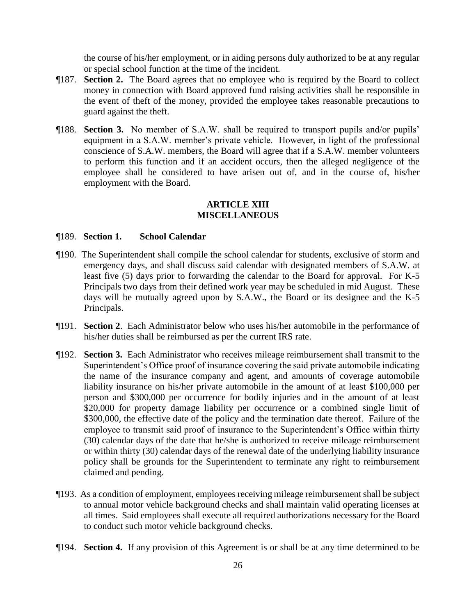the course of his/her employment, or in aiding persons duly authorized to be at any regular or special school function at the time of the incident.

- ¶187. **Section 2.** The Board agrees that no employee who is required by the Board to collect money in connection with Board approved fund raising activities shall be responsible in the event of theft of the money, provided the employee takes reasonable precautions to guard against the theft.
- ¶188. **Section 3.** No member of S.A.W. shall be required to transport pupils and/or pupils' equipment in a S.A.W. member's private vehicle. However, in light of the professional conscience of S.A.W. members, the Board will agree that if a S.A.W. member volunteers to perform this function and if an accident occurs, then the alleged negligence of the employee shall be considered to have arisen out of, and in the course of, his/her employment with the Board.

#### **ARTICLE XIII MISCELLANEOUS**

#### ¶189. **Section 1. School Calendar**

- ¶190. The Superintendent shall compile the school calendar for students, exclusive of storm and emergency days, and shall discuss said calendar with designated members of S.A.W. at least five (5) days prior to forwarding the calendar to the Board for approval. For K-5 Principals two days from their defined work year may be scheduled in mid August. These days will be mutually agreed upon by S.A.W., the Board or its designee and the K-5 Principals.
- ¶191. **Section 2**. Each Administrator below who uses his/her automobile in the performance of his/her duties shall be reimbursed as per the current IRS rate.
- ¶192. **Section 3.** Each Administrator who receives mileage reimbursement shall transmit to the Superintendent's Office proof of insurance covering the said private automobile indicating the name of the insurance company and agent, and amounts of coverage automobile liability insurance on his/her private automobile in the amount of at least \$100,000 per person and \$300,000 per occurrence for bodily injuries and in the amount of at least \$20,000 for property damage liability per occurrence or a combined single limit of \$300,000, the effective date of the policy and the termination date thereof. Failure of the employee to transmit said proof of insurance to the Superintendent's Office within thirty (30) calendar days of the date that he/she is authorized to receive mileage reimbursement or within thirty (30) calendar days of the renewal date of the underlying liability insurance policy shall be grounds for the Superintendent to terminate any right to reimbursement claimed and pending.
- ¶193. As a condition of employment, employees receiving mileage reimbursement shall be subject to annual motor vehicle background checks and shall maintain valid operating licenses at all times. Said employees shall execute all required authorizations necessary for the Board to conduct such motor vehicle background checks.
- ¶194. **Section 4.** If any provision of this Agreement is or shall be at any time determined to be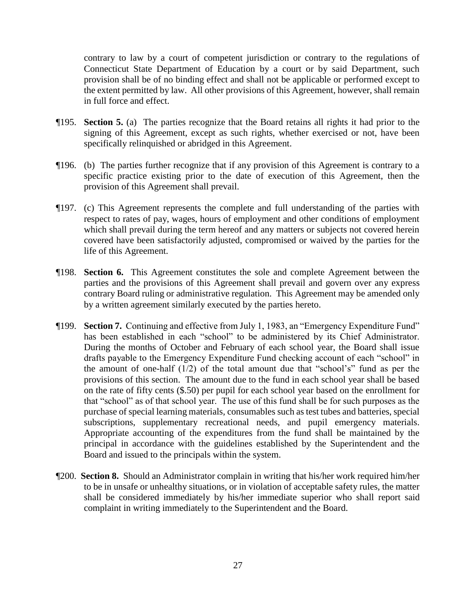contrary to law by a court of competent jurisdiction or contrary to the regulations of Connecticut State Department of Education by a court or by said Department, such provision shall be of no binding effect and shall not be applicable or performed except to the extent permitted by law. All other provisions of this Agreement, however, shall remain in full force and effect.

- ¶195. **Section 5.** (a) The parties recognize that the Board retains all rights it had prior to the signing of this Agreement, except as such rights, whether exercised or not, have been specifically relinquished or abridged in this Agreement.
- ¶196. (b) The parties further recognize that if any provision of this Agreement is contrary to a specific practice existing prior to the date of execution of this Agreement, then the provision of this Agreement shall prevail.
- ¶197. (c) This Agreement represents the complete and full understanding of the parties with respect to rates of pay, wages, hours of employment and other conditions of employment which shall prevail during the term hereof and any matters or subjects not covered herein covered have been satisfactorily adjusted, compromised or waived by the parties for the life of this Agreement.
- ¶198. **Section 6.** This Agreement constitutes the sole and complete Agreement between the parties and the provisions of this Agreement shall prevail and govern over any express contrary Board ruling or administrative regulation. This Agreement may be amended only by a written agreement similarly executed by the parties hereto.
- ¶199. **Section 7.** Continuing and effective from July 1, 1983, an "Emergency Expenditure Fund" has been established in each "school" to be administered by its Chief Administrator. During the months of October and February of each school year, the Board shall issue drafts payable to the Emergency Expenditure Fund checking account of each "school" in the amount of one-half (1/2) of the total amount due that "school's" fund as per the provisions of this section. The amount due to the fund in each school year shall be based on the rate of fifty cents (\$.50) per pupil for each school year based on the enrollment for that "school" as of that school year. The use of this fund shall be for such purposes as the purchase of special learning materials, consumables such as test tubes and batteries, special subscriptions, supplementary recreational needs, and pupil emergency materials. Appropriate accounting of the expenditures from the fund shall be maintained by the principal in accordance with the guidelines established by the Superintendent and the Board and issued to the principals within the system.
- ¶200. **Section 8.** Should an Administrator complain in writing that his/her work required him/her to be in unsafe or unhealthy situations, or in violation of acceptable safety rules, the matter shall be considered immediately by his/her immediate superior who shall report said complaint in writing immediately to the Superintendent and the Board.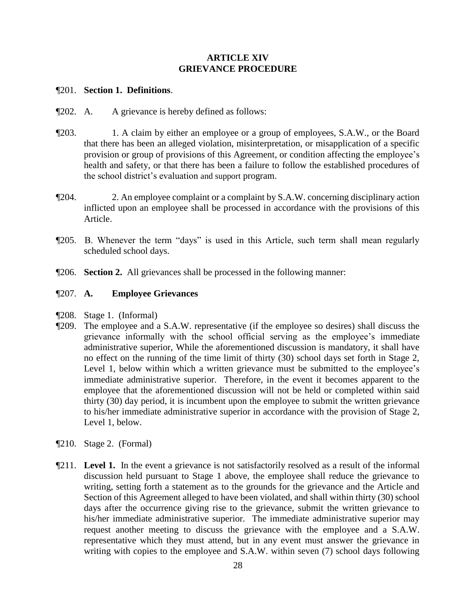# **ARTICLE XIV GRIEVANCE PROCEDURE**

#### ¶201. **Section 1. Definitions**.

- ¶202. A. A grievance is hereby defined as follows:
- ¶203. 1. A claim by either an employee or a group of employees, S.A.W., or the Board that there has been an alleged violation, misinterpretation, or misapplication of a specific provision or group of provisions of this Agreement, or condition affecting the employee's health and safety, or that there has been a failure to follow the established procedures of the school district's evaluation and support program.
- ¶204. 2. An employee complaint or a complaint by S.A.W. concerning disciplinary action inflicted upon an employee shall be processed in accordance with the provisions of this Article.
- ¶205. B. Whenever the term "days" is used in this Article, such term shall mean regularly scheduled school days.
- ¶206. **Section 2.** All grievances shall be processed in the following manner:

#### ¶207. **A. Employee Grievances**

- ¶208. Stage 1. (Informal)
- ¶209. The employee and a S.A.W. representative (if the employee so desires) shall discuss the grievance informally with the school official serving as the employee's immediate administrative superior, While the aforementioned discussion is mandatory, it shall have no effect on the running of the time limit of thirty (30) school days set forth in Stage 2, Level 1, below within which a written grievance must be submitted to the employee's immediate administrative superior. Therefore, in the event it becomes apparent to the employee that the aforementioned discussion will not be held or completed within said thirty (30) day period, it is incumbent upon the employee to submit the written grievance to his/her immediate administrative superior in accordance with the provision of Stage 2, Level 1, below.
- ¶210. Stage 2. (Formal)
- ¶211. **Level 1.** In the event a grievance is not satisfactorily resolved as a result of the informal discussion held pursuant to Stage 1 above, the employee shall reduce the grievance to writing, setting forth a statement as to the grounds for the grievance and the Article and Section of this Agreement alleged to have been violated, and shall within thirty (30) school days after the occurrence giving rise to the grievance, submit the written grievance to his/her immediate administrative superior. The immediate administrative superior may request another meeting to discuss the grievance with the employee and a S.A.W. representative which they must attend, but in any event must answer the grievance in writing with copies to the employee and S.A.W. within seven (7) school days following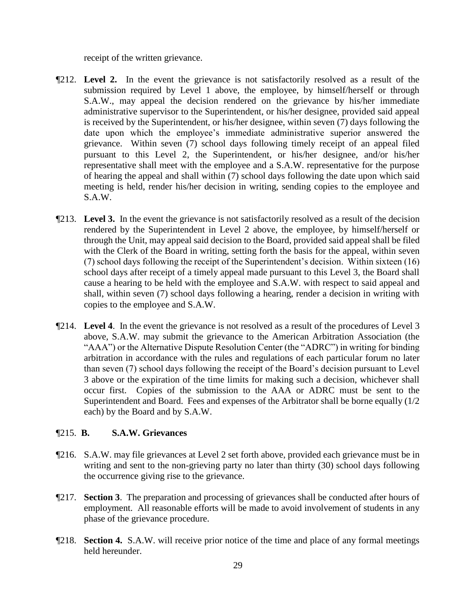receipt of the written grievance.

- ¶212. **Level 2.** In the event the grievance is not satisfactorily resolved as a result of the submission required by Level 1 above, the employee, by himself/herself or through S.A.W., may appeal the decision rendered on the grievance by his/her immediate administrative supervisor to the Superintendent, or his/her designee, provided said appeal is received by the Superintendent, or his/her designee, within seven (7) days following the date upon which the employee's immediate administrative superior answered the grievance. Within seven (7) school days following timely receipt of an appeal filed pursuant to this Level 2, the Superintendent, or his/her designee, and/or his/her representative shall meet with the employee and a S.A.W. representative for the purpose of hearing the appeal and shall within (7) school days following the date upon which said meeting is held, render his/her decision in writing, sending copies to the employee and S.A.W.
- ¶213. **Level 3.** In the event the grievance is not satisfactorily resolved as a result of the decision rendered by the Superintendent in Level 2 above, the employee, by himself/herself or through the Unit, may appeal said decision to the Board, provided said appeal shall be filed with the Clerk of the Board in writing, setting forth the basis for the appeal, within seven (7) school days following the receipt of the Superintendent's decision. Within sixteen (16) school days after receipt of a timely appeal made pursuant to this Level 3, the Board shall cause a hearing to be held with the employee and S.A.W. with respect to said appeal and shall, within seven (7) school days following a hearing, render a decision in writing with copies to the employee and S.A.W.
- ¶214. **Level 4**. In the event the grievance is not resolved as a result of the procedures of Level 3 above, S.A.W. may submit the grievance to the American Arbitration Association (the "AAA") or the Alternative Dispute Resolution Center (the "ADRC") in writing for binding arbitration in accordance with the rules and regulations of each particular forum no later than seven (7) school days following the receipt of the Board's decision pursuant to Level 3 above or the expiration of the time limits for making such a decision, whichever shall occur first. Copies of the submission to the AAA or ADRC must be sent to the Superintendent and Board. Fees and expenses of the Arbitrator shall be borne equally (1/2 each) by the Board and by S.A.W.

# ¶215. **B. S.A.W. Grievances**

- ¶216. S.A.W. may file grievances at Level 2 set forth above, provided each grievance must be in writing and sent to the non-grieving party no later than thirty (30) school days following the occurrence giving rise to the grievance.
- ¶217. **Section 3**. The preparation and processing of grievances shall be conducted after hours of employment. All reasonable efforts will be made to avoid involvement of students in any phase of the grievance procedure.
- ¶218. **Section 4.** S.A.W. will receive prior notice of the time and place of any formal meetings held hereunder.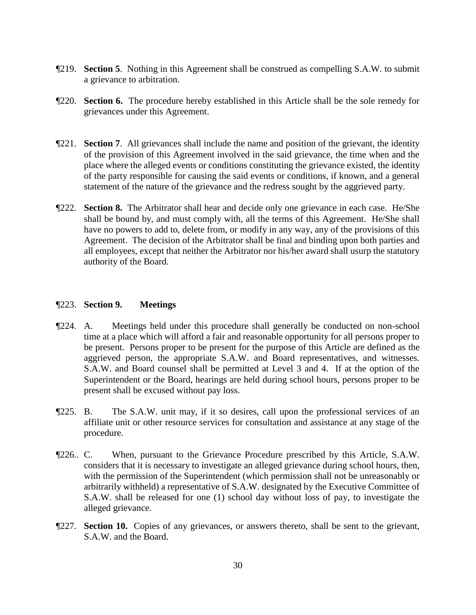- ¶219. **Section 5**. Nothing in this Agreement shall be construed as compelling S.A.W. to submit a grievance to arbitration.
- ¶220. **Section 6.** The procedure hereby established in this Article shall be the sole remedy for grievances under this Agreement.
- ¶221. **Section 7**. All grievances shall include the name and position of the grievant, the identity of the provision of this Agreement involved in the said grievance, the time when and the place where the alleged events or conditions constituting the grievance existed, the identity of the party responsible for causing the said events or conditions, if known, and a general statement of the nature of the grievance and the redress sought by the aggrieved party.
- ¶222. **Section 8.** The Arbitrator shall hear and decide only one grievance in each case. He/She shall be bound by, and must comply with, all the terms of this Agreement. He/She shall have no powers to add to, delete from, or modify in any way, any of the provisions of this Agreement. The decision of the Arbitrator shall be final and binding upon both parties and all employees, except that neither the Arbitrator nor his/her award shall usurp the statutory authority of the Board.

#### ¶223. **Section 9. Meetings**

- ¶224. A. Meetings held under this procedure shall generally be conducted on non-school time at a place which will afford a fair and reasonable opportunity for all persons proper to be present. Persons proper to be present for the purpose of this Article are defined as the aggrieved person, the appropriate S.A.W. and Board representatives, and witnesses. S.A.W. and Board counsel shall be permitted at Level 3 and 4. If at the option of the Superintendent or the Board, hearings are held during school hours, persons proper to be present shall be excused without pay loss.
- ¶225. B. The S.A.W. unit may, if it so desires, call upon the professional services of an affiliate unit or other resource services for consultation and assistance at any stage of the procedure.
- ¶226.. C. When, pursuant to the Grievance Procedure prescribed by this Article, S.A.W. considers that it is necessary to investigate an alleged grievance during school hours, then, with the permission of the Superintendent (which permission shall not be unreasonably or arbitrarily withheld) a representative of S.A.W. designated by the Executive Committee of S.A.W. shall be released for one (1) school day without loss of pay, to investigate the alleged grievance.
- ¶227. **Section 10.** Copies of any grievances, or answers thereto, shall be sent to the grievant, S.A.W. and the Board.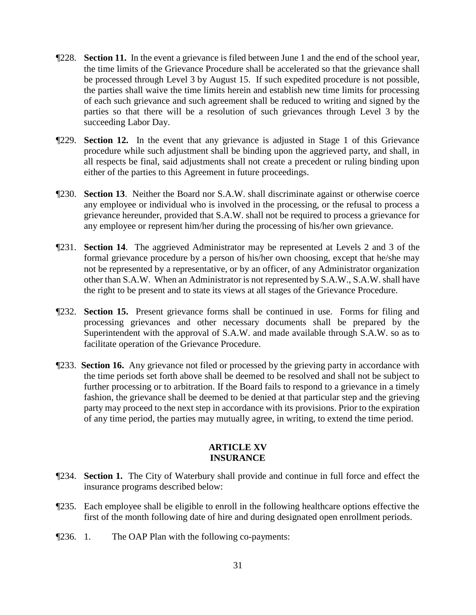- ¶228. **Section 11.** In the event a grievance is filed between June 1 and the end of the school year, the time limits of the Grievance Procedure shall be accelerated so that the grievance shall be processed through Level 3 by August 15. If such expedited procedure is not possible, the parties shall waive the time limits herein and establish new time limits for processing of each such grievance and such agreement shall be reduced to writing and signed by the parties so that there will be a resolution of such grievances through Level 3 by the succeeding Labor Day.
- ¶229. **Section 12.** In the event that any grievance is adjusted in Stage 1 of this Grievance procedure while such adjustment shall be binding upon the aggrieved party, and shall, in all respects be final, said adjustments shall not create a precedent or ruling binding upon either of the parties to this Agreement in future proceedings.
- ¶230. **Section 13**. Neither the Board nor S.A.W. shall discriminate against or otherwise coerce any employee or individual who is involved in the processing, or the refusal to process a grievance hereunder, provided that S.A.W. shall not be required to process a grievance for any employee or represent him/her during the processing of his/her own grievance.
- ¶231. **Section 14**. The aggrieved Administrator may be represented at Levels 2 and 3 of the formal grievance procedure by a person of his/her own choosing, except that he/she may not be represented by a representative, or by an officer, of any Administrator organization other than S.A.W. When an Administrator is not represented by S.A.W., S.A.W. shall have the right to be present and to state its views at all stages of the Grievance Procedure.
- ¶232. **Section 15.** Present grievance forms shall be continued in use. Forms for filing and processing grievances and other necessary documents shall be prepared by the Superintendent with the approval of S.A.W. and made available through S.A.W. so as to facilitate operation of the Grievance Procedure.
- ¶233. **Section 16.** Any grievance not filed or processed by the grieving party in accordance with the time periods set forth above shall be deemed to be resolved and shall not be subject to further processing or to arbitration. If the Board fails to respond to a grievance in a timely fashion, the grievance shall be deemed to be denied at that particular step and the grieving party may proceed to the next step in accordance with its provisions. Prior to the expiration of any time period, the parties may mutually agree, in writing, to extend the time period.

#### **ARTICLE XV INSURANCE**

- ¶234. **Section 1.** The City of Waterbury shall provide and continue in full force and effect the insurance programs described below:
- ¶235. Each employee shall be eligible to enroll in the following healthcare options effective the first of the month following date of hire and during designated open enrollment periods.
- ¶236. 1. The OAP Plan with the following co-payments: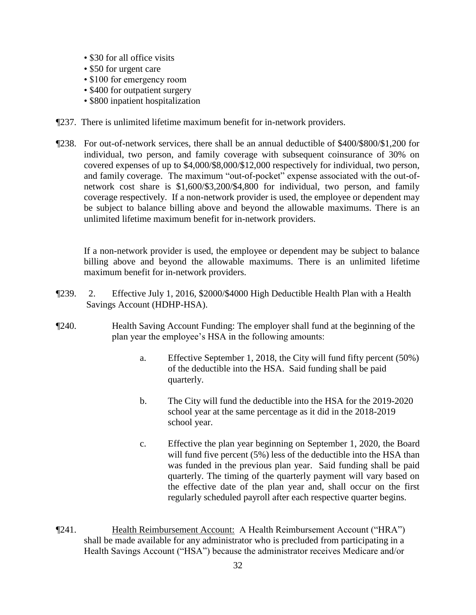- \$30 for all office visits
- \$50 for urgent care
- \$100 for emergency room
- \$400 for outpatient surgery
- \$800 inpatient hospitalization
- ¶237. There is unlimited lifetime maximum benefit for in-network providers.
- ¶238. For out-of-network services, there shall be an annual deductible of \$400/\$800/\$1,200 for individual, two person, and family coverage with subsequent coinsurance of 30% on covered expenses of up to \$4,000/\$8,000/\$12,000 respectively for individual, two person, and family coverage. The maximum "out-of-pocket" expense associated with the out-ofnetwork cost share is \$1,600/\$3,200/\$4,800 for individual, two person, and family coverage respectively. If a non-network provider is used, the employee or dependent may be subject to balance billing above and beyond the allowable maximums. There is an unlimited lifetime maximum benefit for in-network providers.

If a non-network provider is used, the employee or dependent may be subject to balance billing above and beyond the allowable maximums. There is an unlimited lifetime maximum benefit for in-network providers.

- ¶239. 2. Effective July 1, 2016, \$2000/\$4000 High Deductible Health Plan with a Health Savings Account (HDHP-HSA).
- ¶240. Health Saving Account Funding: The employer shall fund at the beginning of the plan year the employee's HSA in the following amounts:
	- a. Effective September 1, 2018, the City will fund fifty percent (50%) of the deductible into the HSA. Said funding shall be paid quarterly.
	- b. The City will fund the deductible into the HSA for the 2019-2020 school year at the same percentage as it did in the 2018-2019 school year.
	- c. Effective the plan year beginning on September 1, 2020, the Board will fund five percent (5%) less of the deductible into the HSA than was funded in the previous plan year. Said funding shall be paid quarterly. The timing of the quarterly payment will vary based on the effective date of the plan year and, shall occur on the first regularly scheduled payroll after each respective quarter begins.
- ¶241. Health Reimbursement Account: A Health Reimbursement Account ("HRA") shall be made available for any administrator who is precluded from participating in a Health Savings Account ("HSA") because the administrator receives Medicare and/or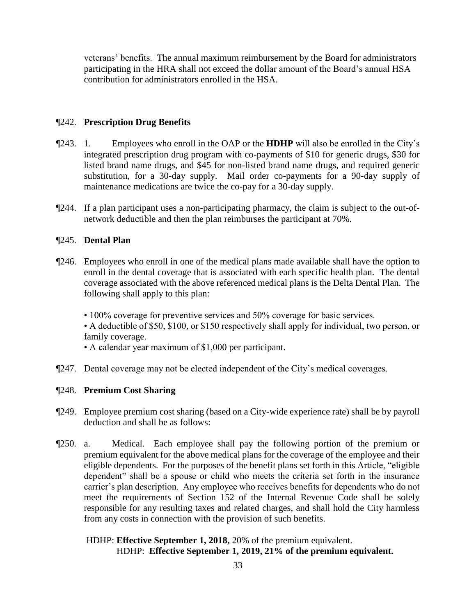veterans' benefits. The annual maximum reimbursement by the Board for administrators participating in the HRA shall not exceed the dollar amount of the Board's annual HSA contribution for administrators enrolled in the HSA.

#### ¶242. **Prescription Drug Benefits**

- ¶243. 1. Employees who enroll in the OAP or the **HDHP** will also be enrolled in the City's integrated prescription drug program with co-payments of \$10 for generic drugs, \$30 for listed brand name drugs, and \$45 for non-listed brand name drugs, and required generic substitution, for a 30-day supply. Mail order co-payments for a 90-day supply of maintenance medications are twice the co-pay for a 30-day supply.
- ¶244. If a plan participant uses a non-participating pharmacy, the claim is subject to the out-ofnetwork deductible and then the plan reimburses the participant at 70%.

#### ¶245. **Dental Plan**

- ¶246. Employees who enroll in one of the medical plans made available shall have the option to enroll in the dental coverage that is associated with each specific health plan. The dental coverage associated with the above referenced medical plans is the Delta Dental Plan. The following shall apply to this plan:
	- 100% coverage for preventive services and 50% coverage for basic services.

• A deductible of \$50, \$100, or \$150 respectively shall apply for individual, two person, or family coverage.

- A calendar year maximum of \$1,000 per participant.
- ¶247. Dental coverage may not be elected independent of the City's medical coverages.

#### ¶248. **Premium Cost Sharing**

- ¶249. Employee premium cost sharing (based on a City-wide experience rate) shall be by payroll deduction and shall be as follows:
- ¶250. a. Medical. Each employee shall pay the following portion of the premium or premium equivalent for the above medical plans for the coverage of the employee and their eligible dependents. For the purposes of the benefit plans set forth in this Article, "eligible dependent" shall be a spouse or child who meets the criteria set forth in the insurance carrier's plan description. Any employee who receives benefits for dependents who do not meet the requirements of Section 152 of the Internal Revenue Code shall be solely responsible for any resulting taxes and related charges, and shall hold the City harmless from any costs in connection with the provision of such benefits.

#### HDHP: **Effective September 1, 2018,** 20% of the premium equivalent. HDHP: **Effective September 1, 2019, 21% of the premium equivalent.**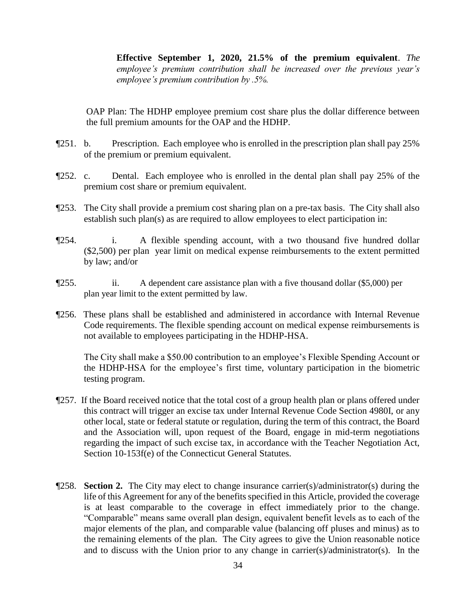**Effective September 1, 2020, 21.5% of the premium equivalent**. *The employee's premium contribution shall be increased over the previous year's employee's premium contribution by .5%.*

OAP Plan: The HDHP employee premium cost share plus the dollar difference between the full premium amounts for the OAP and the HDHP.

- ¶251. b. Prescription. Each employee who is enrolled in the prescription plan shall pay 25% of the premium or premium equivalent.
- ¶252. c. Dental. Each employee who is enrolled in the dental plan shall pay 25% of the premium cost share or premium equivalent.
- ¶253. The City shall provide a premium cost sharing plan on a pre-tax basis. The City shall also establish such plan(s) as are required to allow employees to elect participation in:
- ¶254. i. A flexible spending account, with a two thousand five hundred dollar (\$2,500) per plan year limit on medical expense reimbursements to the extent permitted by law; and/or
- ¶255. ii. A dependent care assistance plan with a five thousand dollar (\$5,000) per plan year limit to the extent permitted by law.
- ¶256. These plans shall be established and administered in accordance with Internal Revenue Code requirements. The flexible spending account on medical expense reimbursements is not available to employees participating in the HDHP-HSA.

The City shall make a \$50.00 contribution to an employee's Flexible Spending Account or the HDHP-HSA for the employee's first time, voluntary participation in the biometric testing program.

- ¶257. If the Board received notice that the total cost of a group health plan or plans offered under this contract will trigger an excise tax under Internal Revenue Code Section 4980I, or any other local, state or federal statute or regulation, during the term of this contract, the Board and the Association will, upon request of the Board, engage in mid-term negotiations regarding the impact of such excise tax, in accordance with the Teacher Negotiation Act, Section 10-153f(e) of the Connecticut General Statutes.
- ¶258. **Section 2.** The City may elect to change insurance carrier(s)/administrator(s) during the life of this Agreement for any of the benefits specified in this Article, provided the coverage is at least comparable to the coverage in effect immediately prior to the change. "Comparable" means same overall plan design, equivalent benefit levels as to each of the major elements of the plan, and comparable value (balancing off pluses and minus) as to the remaining elements of the plan. The City agrees to give the Union reasonable notice and to discuss with the Union prior to any change in carrier(s)/administrator(s). In the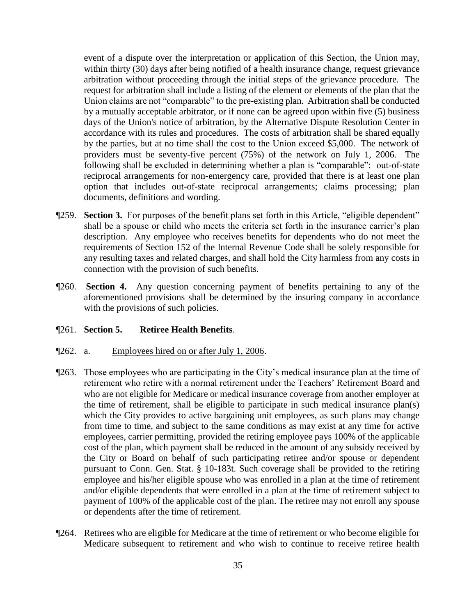event of a dispute over the interpretation or application of this Section, the Union may, within thirty (30) days after being notified of a health insurance change, request grievance arbitration without proceeding through the initial steps of the grievance procedure. The request for arbitration shall include a listing of the element or elements of the plan that the Union claims are not "comparable" to the pre-existing plan. Arbitration shall be conducted by a mutually acceptable arbitrator, or if none can be agreed upon within five (5) business days of the Union's notice of arbitration, by the Alternative Dispute Resolution Center in accordance with its rules and procedures. The costs of arbitration shall be shared equally by the parties, but at no time shall the cost to the Union exceed \$5,000. The network of providers must be seventy-five percent (75%) of the network on July 1, 2006. The following shall be excluded in determining whether a plan is "comparable": out-of-state reciprocal arrangements for non-emergency care, provided that there is at least one plan option that includes out-of-state reciprocal arrangements; claims processing; plan documents, definitions and wording.

- ¶259. **Section 3.** For purposes of the benefit plans set forth in this Article, "eligible dependent" shall be a spouse or child who meets the criteria set forth in the insurance carrier's plan description. Any employee who receives benefits for dependents who do not meet the requirements of Section 152 of the Internal Revenue Code shall be solely responsible for any resulting taxes and related charges, and shall hold the City harmless from any costs in connection with the provision of such benefits.
- ¶260. **Section 4.** Any question concerning payment of benefits pertaining to any of the aforementioned provisions shall be determined by the insuring company in accordance with the provisions of such policies.

#### ¶261. **Section 5. Retiree Health Benefits**.

- ¶262. a. Employees hired on or after July 1, 2006.
- ¶263. Those employees who are participating in the City's medical insurance plan at the time of retirement who retire with a normal retirement under the Teachers' Retirement Board and who are not eligible for Medicare or medical insurance coverage from another employer at the time of retirement, shall be eligible to participate in such medical insurance plan(s) which the City provides to active bargaining unit employees, as such plans may change from time to time, and subject to the same conditions as may exist at any time for active employees, carrier permitting, provided the retiring employee pays 100% of the applicable cost of the plan, which payment shall be reduced in the amount of any subsidy received by the City or Board on behalf of such participating retiree and/or spouse or dependent pursuant to Conn. Gen. Stat. § 10-183t. Such coverage shall be provided to the retiring employee and his/her eligible spouse who was enrolled in a plan at the time of retirement and/or eligible dependents that were enrolled in a plan at the time of retirement subject to payment of 100% of the applicable cost of the plan. The retiree may not enroll any spouse or dependents after the time of retirement.
- ¶264. Retirees who are eligible for Medicare at the time of retirement or who become eligible for Medicare subsequent to retirement and who wish to continue to receive retiree health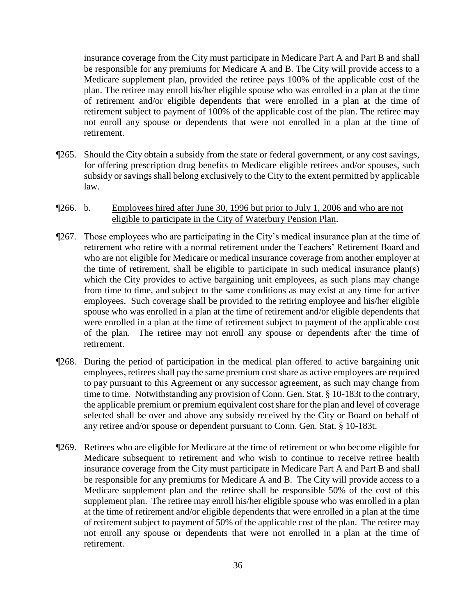insurance coverage from the City must participate in Medicare Part A and Part B and shall be responsible for any premiums for Medicare A and B. The City will provide access to a Medicare supplement plan, provided the retiree pays 100% of the applicable cost of the plan. The retiree may enroll his/her eligible spouse who was enrolled in a plan at the time of retirement and/or eligible dependents that were enrolled in a plan at the time of retirement subject to payment of 100% of the applicable cost of the plan. The retiree may not enroll any spouse or dependents that were not enrolled in a plan at the time of retirement.

- ¶265. Should the City obtain a subsidy from the state or federal government, or any cost savings, for offering prescription drug benefits to Medicare eligible retirees and/or spouses, such subsidy or savings shall belong exclusively to the City to the extent permitted by applicable law.
- ¶266. b. Employees hired after June 30, 1996 but prior to July 1, 2006 and who are not eligible to participate in the City of Waterbury Pension Plan.
- ¶267. Those employees who are participating in the City's medical insurance plan at the time of retirement who retire with a normal retirement under the Teachers' Retirement Board and who are not eligible for Medicare or medical insurance coverage from another employer at the time of retirement, shall be eligible to participate in such medical insurance plan(s) which the City provides to active bargaining unit employees, as such plans may change from time to time, and subject to the same conditions as may exist at any time for active employees. Such coverage shall be provided to the retiring employee and his/her eligible spouse who was enrolled in a plan at the time of retirement and/or eligible dependents that were enrolled in a plan at the time of retirement subject to payment of the applicable cost of the plan. The retiree may not enroll any spouse or dependents after the time of retirement.
- ¶268. During the period of participation in the medical plan offered to active bargaining unit employees, retirees shall pay the same premium cost share as active employees are required to pay pursuant to this Agreement or any successor agreement, as such may change from time to time. Notwithstanding any provision of Conn. Gen. Stat. § 10-183t to the contrary, the applicable premium or premium equivalent cost share for the plan and level of coverage selected shall be over and above any subsidy received by the City or Board on behalf of any retiree and/or spouse or dependent pursuant to Conn. Gen. Stat. § 10-183t.
- ¶269. Retirees who are eligible for Medicare at the time of retirement or who become eligible for Medicare subsequent to retirement and who wish to continue to receive retiree health insurance coverage from the City must participate in Medicare Part A and Part B and shall be responsible for any premiums for Medicare A and B. The City will provide access to a Medicare supplement plan and the retiree shall be responsible 50% of the cost of this supplement plan. The retiree may enroll his/her eligible spouse who was enrolled in a plan at the time of retirement and/or eligible dependents that were enrolled in a plan at the time of retirement subject to payment of 50% of the applicable cost of the plan. The retiree may not enroll any spouse or dependents that were not enrolled in a plan at the time of retirement.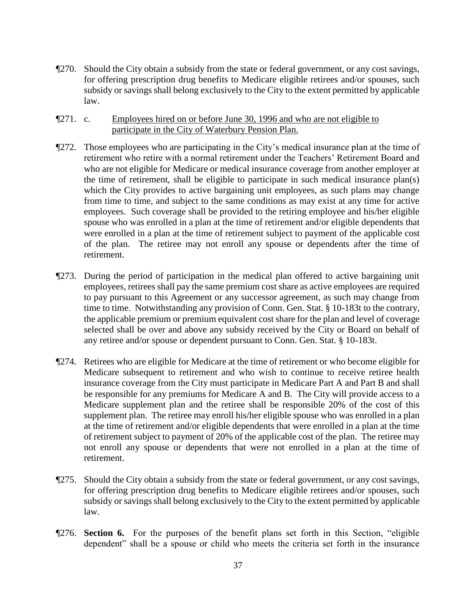- ¶270. Should the City obtain a subsidy from the state or federal government, or any cost savings, for offering prescription drug benefits to Medicare eligible retirees and/or spouses, such subsidy or savings shall belong exclusively to the City to the extent permitted by applicable law.
- ¶271. c. Employees hired on or before June 30, 1996 and who are not eligible to participate in the City of Waterbury Pension Plan.
- ¶272. Those employees who are participating in the City's medical insurance plan at the time of retirement who retire with a normal retirement under the Teachers' Retirement Board and who are not eligible for Medicare or medical insurance coverage from another employer at the time of retirement, shall be eligible to participate in such medical insurance plan(s) which the City provides to active bargaining unit employees, as such plans may change from time to time, and subject to the same conditions as may exist at any time for active employees. Such coverage shall be provided to the retiring employee and his/her eligible spouse who was enrolled in a plan at the time of retirement and/or eligible dependents that were enrolled in a plan at the time of retirement subject to payment of the applicable cost of the plan. The retiree may not enroll any spouse or dependents after the time of retirement.
- ¶273. During the period of participation in the medical plan offered to active bargaining unit employees, retirees shall pay the same premium cost share as active employees are required to pay pursuant to this Agreement or any successor agreement, as such may change from time to time. Notwithstanding any provision of Conn. Gen. Stat. § 10-183t to the contrary, the applicable premium or premium equivalent cost share for the plan and level of coverage selected shall be over and above any subsidy received by the City or Board on behalf of any retiree and/or spouse or dependent pursuant to Conn. Gen. Stat. § 10-183t.
- ¶274. Retirees who are eligible for Medicare at the time of retirement or who become eligible for Medicare subsequent to retirement and who wish to continue to receive retiree health insurance coverage from the City must participate in Medicare Part A and Part B and shall be responsible for any premiums for Medicare A and B. The City will provide access to a Medicare supplement plan and the retiree shall be responsible 20% of the cost of this supplement plan. The retiree may enroll his/her eligible spouse who was enrolled in a plan at the time of retirement and/or eligible dependents that were enrolled in a plan at the time of retirement subject to payment of 20% of the applicable cost of the plan. The retiree may not enroll any spouse or dependents that were not enrolled in a plan at the time of retirement.
- ¶275. Should the City obtain a subsidy from the state or federal government, or any cost savings, for offering prescription drug benefits to Medicare eligible retirees and/or spouses, such subsidy or savings shall belong exclusively to the City to the extent permitted by applicable law.
- ¶276. **Section 6.** For the purposes of the benefit plans set forth in this Section, "eligible dependent" shall be a spouse or child who meets the criteria set forth in the insurance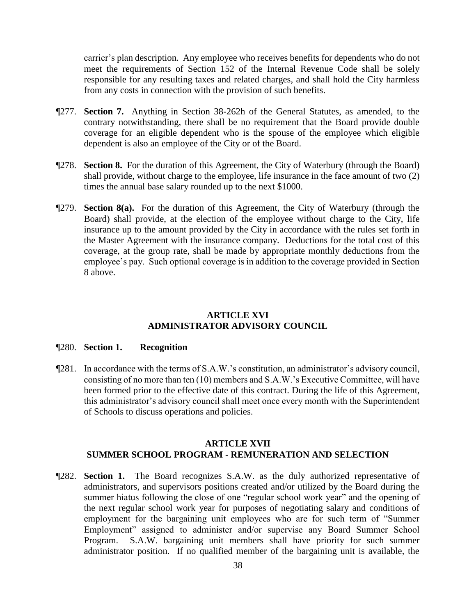carrier's plan description. Any employee who receives benefits for dependents who do not meet the requirements of Section 152 of the Internal Revenue Code shall be solely responsible for any resulting taxes and related charges, and shall hold the City harmless from any costs in connection with the provision of such benefits.

- ¶277. **Section 7.** Anything in Section 38-262h of the General Statutes, as amended, to the contrary notwithstanding, there shall be no requirement that the Board provide double coverage for an eligible dependent who is the spouse of the employee which eligible dependent is also an employee of the City or of the Board.
- ¶278. **Section 8.** For the duration of this Agreement, the City of Waterbury (through the Board) shall provide, without charge to the employee, life insurance in the face amount of two (2) times the annual base salary rounded up to the next \$1000.
- ¶279. **Section 8(a).** For the duration of this Agreement, the City of Waterbury (through the Board) shall provide, at the election of the employee without charge to the City, life insurance up to the amount provided by the City in accordance with the rules set forth in the Master Agreement with the insurance company. Deductions for the total cost of this coverage, at the group rate, shall be made by appropriate monthly deductions from the employee's pay. Such optional coverage is in addition to the coverage provided in Section 8 above.

#### **ARTICLE XVI ADMINISTRATOR ADVISORY COUNCIL**

#### ¶280. **Section 1. Recognition**

¶281. In accordance with the terms of S.A.W.'s constitution, an administrator's advisory council, consisting of no more than ten (10) members and S.A.W.'s Executive Committee, will have been formed prior to the effective date of this contract. During the life of this Agreement, this administrator's advisory council shall meet once every month with the Superintendent of Schools to discuss operations and policies.

# **ARTICLE XVII SUMMER SCHOOL PROGRAM - REMUNERATION AND SELECTION**

¶282. **Section 1.** The Board recognizes S.A.W. as the duly authorized representative of administrators, and supervisors positions created and/or utilized by the Board during the summer hiatus following the close of one "regular school work year" and the opening of the next regular school work year for purposes of negotiating salary and conditions of employment for the bargaining unit employees who are for such term of "Summer Employment" assigned to administer and/or supervise any Board Summer School Program. S.A.W. bargaining unit members shall have priority for such summer administrator position. If no qualified member of the bargaining unit is available, the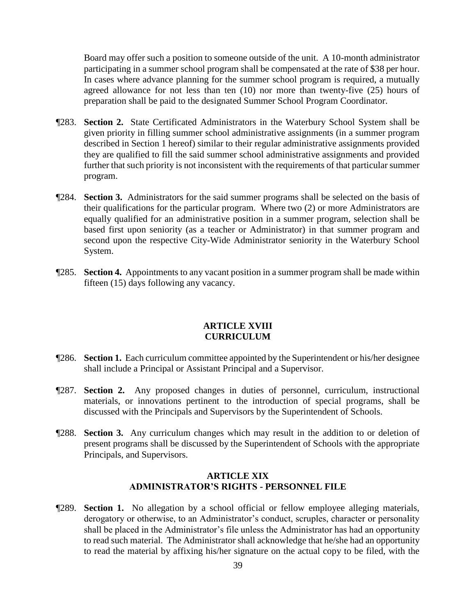Board may offer such a position to someone outside of the unit. A 10-month administrator participating in a summer school program shall be compensated at the rate of \$38 per hour. In cases where advance planning for the summer school program is required, a mutually agreed allowance for not less than ten (10) nor more than twenty-five (25) hours of preparation shall be paid to the designated Summer School Program Coordinator.

- ¶283. **Section 2.** State Certificated Administrators in the Waterbury School System shall be given priority in filling summer school administrative assignments (in a summer program described in Section 1 hereof) similar to their regular administrative assignments provided they are qualified to fill the said summer school administrative assignments and provided further that such priority is not inconsistent with the requirements of that particular summer program.
- ¶284. **Section 3.** Administrators for the said summer programs shall be selected on the basis of their qualifications for the particular program. Where two (2) or more Administrators are equally qualified for an administrative position in a summer program, selection shall be based first upon seniority (as a teacher or Administrator) in that summer program and second upon the respective City-Wide Administrator seniority in the Waterbury School System.
- ¶285. **Section 4.** Appointments to any vacant position in a summer program shall be made within fifteen (15) days following any vacancy.

#### **ARTICLE XVIII CURRICULUM**

- ¶286. **Section 1.** Each curriculum committee appointed by the Superintendent or his/her designee shall include a Principal or Assistant Principal and a Supervisor.
- ¶287. **Section 2.** Any proposed changes in duties of personnel, curriculum, instructional materials, or innovations pertinent to the introduction of special programs, shall be discussed with the Principals and Supervisors by the Superintendent of Schools.
- ¶288. **Section 3.** Any curriculum changes which may result in the addition to or deletion of present programs shall be discussed by the Superintendent of Schools with the appropriate Principals, and Supervisors.

# **ARTICLE XIX ADMINISTRATOR'S RIGHTS - PERSONNEL FILE**

¶289. **Section 1.** No allegation by a school official or fellow employee alleging materials, derogatory or otherwise, to an Administrator's conduct, scruples, character or personality shall be placed in the Administrator's file unless the Administrator has had an opportunity to read such material. The Administrator shall acknowledge that he/she had an opportunity to read the material by affixing his/her signature on the actual copy to be filed, with the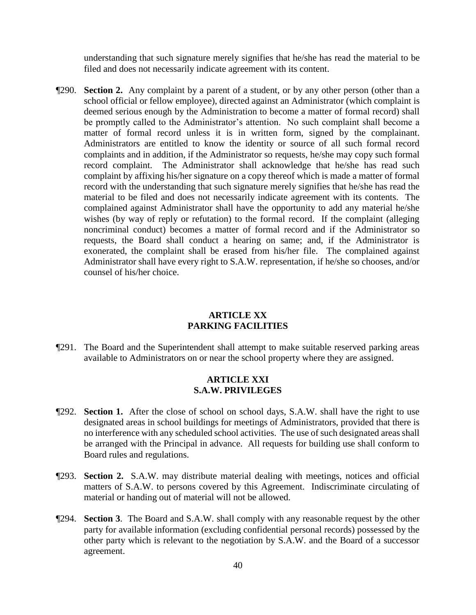understanding that such signature merely signifies that he/she has read the material to be filed and does not necessarily indicate agreement with its content.

¶290. **Section 2.** Any complaint by a parent of a student, or by any other person (other than a school official or fellow employee), directed against an Administrator (which complaint is deemed serious enough by the Administration to become a matter of formal record) shall be promptly called to the Administrator's attention. No such complaint shall become a matter of formal record unless it is in written form, signed by the complainant. Administrators are entitled to know the identity or source of all such formal record complaints and in addition, if the Administrator so requests, he/she may copy such formal record complaint. The Administrator shall acknowledge that he/she has read such complaint by affixing his/her signature on a copy thereof which is made a matter of formal record with the understanding that such signature merely signifies that he/she has read the material to be filed and does not necessarily indicate agreement with its contents. The complained against Administrator shall have the opportunity to add any material he/she wishes (by way of reply or refutation) to the formal record. If the complaint (alleging noncriminal conduct) becomes a matter of formal record and if the Administrator so requests, the Board shall conduct a hearing on same; and, if the Administrator is exonerated, the complaint shall be erased from his/her file. The complained against Administrator shall have every right to S.A.W. representation, if he/she so chooses, and/or counsel of his/her choice.

# **ARTICLE XX PARKING FACILITIES**

¶291. The Board and the Superintendent shall attempt to make suitable reserved parking areas available to Administrators on or near the school property where they are assigned.

#### **ARTICLE XXI S.A.W. PRIVILEGES**

- ¶292. **Section 1.** After the close of school on school days, S.A.W. shall have the right to use designated areas in school buildings for meetings of Administrators, provided that there is no interference with any scheduled school activities. The use of such designated areas shall be arranged with the Principal in advance. All requests for building use shall conform to Board rules and regulations.
- ¶293. **Section 2.** S.A.W. may distribute material dealing with meetings, notices and official matters of S.A.W. to persons covered by this Agreement. Indiscriminate circulating of material or handing out of material will not be allowed.
- ¶294. **Section 3**. The Board and S.A.W. shall comply with any reasonable request by the other party for available information (excluding confidential personal records) possessed by the other party which is relevant to the negotiation by S.A.W. and the Board of a successor agreement.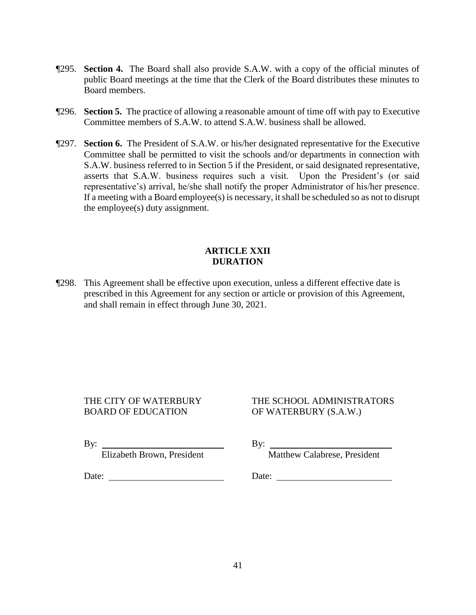- ¶295. **Section 4.** The Board shall also provide S.A.W. with a copy of the official minutes of public Board meetings at the time that the Clerk of the Board distributes these minutes to Board members.
- ¶296. **Section 5.** The practice of allowing a reasonable amount of time off with pay to Executive Committee members of S.A.W. to attend S.A.W. business shall be allowed.
- ¶297. **Section 6.** The President of S.A.W. or his/her designated representative for the Executive Committee shall be permitted to visit the schools and/or departments in connection with S.A.W. business referred to in Section 5 if the President, or said designated representative, asserts that S.A.W. business requires such a visit. Upon the President's (or said representative's) arrival, he/she shall notify the proper Administrator of his/her presence. If a meeting with a Board employee(s) is necessary, it shall be scheduled so as not to disrupt the employee(s) duty assignment.

## **ARTICLE XXII DURATION**

¶298. This Agreement shall be effective upon execution, unless a different effective date is prescribed in this Agreement for any section or article or provision of this Agreement, and shall remain in effect through June 30, 2021.

BOARD OF EDUCATION OF WATERBURY (S.A.W.)

# THE CITY OF WATERBURY THE SCHOOL ADMINISTRATORS

By:  $\qquad \qquad \qquad$  By:

Date: Date:

Elizabeth Brown, President Matthew Calabrese, President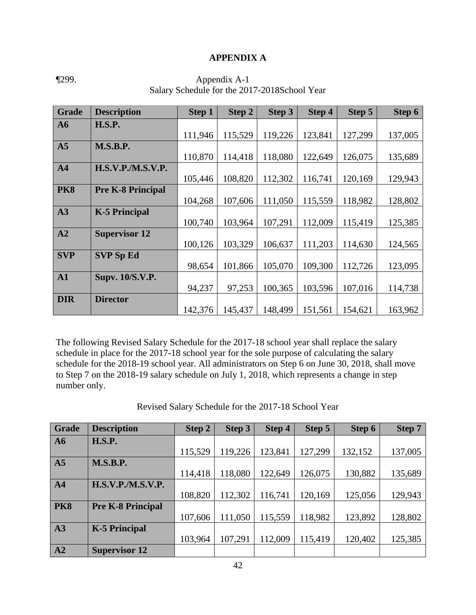#### **APPENDIX A**

| <b>Grade</b>   | <b>Description</b>       | <b>Step 1</b> | Step 2  | Step 3  | Step 4  | Step 5  | Step 6  |
|----------------|--------------------------|---------------|---------|---------|---------|---------|---------|
| A6             | <b>H.S.P.</b>            |               |         |         |         |         |         |
|                |                          | 111,946       | 115,529 | 119,226 | 123,841 | 127,299 | 137,005 |
| A <sub>5</sub> | <b>M.S.B.P.</b>          |               |         |         |         |         |         |
|                |                          | 110,870       | 114,418 | 118,080 | 122,649 | 126,075 | 135,689 |
| A <sub>4</sub> | <b>H.S.V.P./M.S.V.P.</b> |               |         |         |         |         |         |
|                |                          | 105,446       | 108,820 | 112,302 | 116,741 | 120,169 | 129,943 |
| <b>PK8</b>     | <b>Pre K-8 Principal</b> |               |         |         |         |         |         |
|                |                          | 104,268       | 107,606 | 111,050 | 115,559 | 118,982 | 128,802 |
| A3             | <b>K-5 Principal</b>     |               |         |         |         |         |         |
|                |                          | 100,740       | 103,964 | 107,291 | 112,009 | 115,419 | 125,385 |
| A2             | <b>Supervisor 12</b>     |               |         |         |         |         |         |
|                |                          | 100,126       | 103,329 | 106,637 | 111,203 | 114,630 | 124,565 |
| <b>SVP</b>     | <b>SVP Sp Ed</b>         |               |         |         |         |         |         |
|                |                          | 98,654        | 101,866 | 105,070 | 109,300 | 112,726 | 123,095 |
| A1             | <b>Supv. 10/S.V.P.</b>   |               |         |         |         |         |         |
|                |                          | 94,237        | 97,253  | 100,365 | 103,596 | 107,016 | 114,738 |
| <b>DIR</b>     | <b>Director</b>          |               |         |         |         |         |         |
|                |                          | 142,376       | 145,437 | 148,499 | 151,561 | 154,621 | 163,962 |

¶299. Appendix A-1 Salary Schedule for the 2017-2018School Year

The following Revised Salary Schedule for the 2017-18 school year shall replace the salary schedule in place for the 2017-18 school year for the sole purpose of calculating the salary schedule for the 2018-19 school year. All administrators on Step 6 on June 30, 2018, shall move to Step 7 on the 2018-19 salary schedule on July 1, 2018, which represents a change in step number only.

| <b>Grade</b>   | <b>Description</b>       | Step 2  | Step 3  | Step 4  | Step 5  | Step 6  | <b>Step 7</b> |
|----------------|--------------------------|---------|---------|---------|---------|---------|---------------|
| A6             | <b>H.S.P.</b>            |         |         |         |         |         |               |
|                |                          | 115,529 | 119,226 | 123,841 | 127,299 | 132,152 | 137,005       |
| A <sub>5</sub> | <b>M.S.B.P.</b>          |         |         |         |         |         |               |
|                |                          | 114,418 | 118,080 | 122,649 | 126,075 | 130,882 | 135,689       |
| A <sub>4</sub> | <b>H.S.V.P./M.S.V.P.</b> |         |         |         |         |         |               |
|                |                          | 108,820 | 112,302 | 116,741 | 120,169 | 125,056 | 129,943       |
| <b>PK8</b>     | <b>Pre K-8 Principal</b> |         |         |         |         |         |               |
|                |                          | 107,606 | 111,050 | 115,559 | 118,982 | 123,892 | 128,802       |
| A3             | <b>K-5 Principal</b>     |         |         |         |         |         |               |
|                |                          | 103,964 | 107,291 | 112,009 | 115,419 | 120,402 | 125,385       |
| A2             | <b>Supervisor 12</b>     |         |         |         |         |         |               |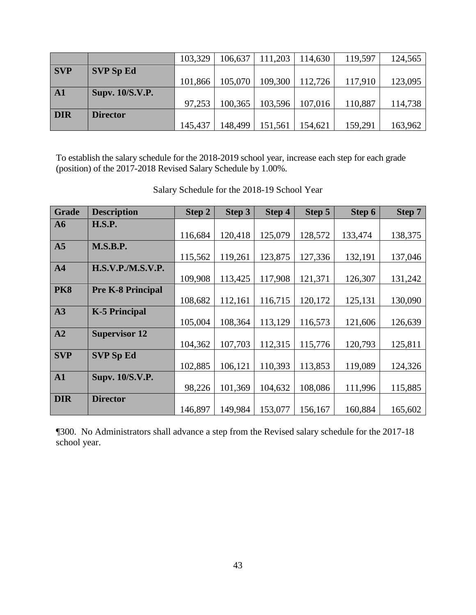|            |                        | 103,329 | 106,637 | 111,203 | 114,630 | 119,597 | 124,565 |
|------------|------------------------|---------|---------|---------|---------|---------|---------|
| <b>SVP</b> | <b>SVP Sp Ed</b>       |         |         |         |         |         |         |
|            |                        | 101,866 | 105,070 | 109,300 | 112,726 | 117,910 | 123,095 |
| A1         | <b>Supv. 10/S.V.P.</b> |         |         |         |         |         |         |
|            |                        | 97,253  | 100,365 | 103,596 | 107,016 | 110,887 | 114,738 |
| <b>DIR</b> | <b>Director</b>        |         |         |         |         |         |         |
|            |                        | 145,437 | 148,499 | 151,561 | 154,621 | 159,291 | 163,962 |

To establish the salary schedule for the 2018-2019 school year, increase each step for each grade (position) of the 2017-2018 Revised Salary Schedule by 1.00%.

| <b>Grade</b>    | <b>Description</b>       | Step 2  | Step 3  | Step 4  | Step 5  | Step 6  | Step 7  |
|-----------------|--------------------------|---------|---------|---------|---------|---------|---------|
| $\overline{A6}$ | <b>H.S.P.</b>            |         |         |         |         |         |         |
|                 |                          | 116,684 | 120,418 | 125,079 | 128,572 | 133,474 | 138,375 |
| A <sub>5</sub>  | <b>M.S.B.P.</b>          |         |         |         |         |         |         |
|                 |                          | 115,562 | 119,261 | 123,875 | 127,336 | 132,191 | 137,046 |
| AA              | <b>H.S.V.P./M.S.V.P.</b> |         |         |         |         |         |         |
|                 |                          | 109,908 | 113,425 | 117,908 | 121,371 | 126,307 | 131,242 |
| <b>PK8</b>      | <b>Pre K-8 Principal</b> |         |         |         |         |         |         |
|                 |                          | 108,682 | 112,161 | 116,715 | 120,172 | 125,131 | 130,090 |
| A3              | <b>K-5 Principal</b>     |         |         |         |         |         |         |
|                 |                          | 105,004 | 108,364 | 113,129 | 116,573 | 121,606 | 126,639 |
| A2              | <b>Supervisor 12</b>     |         |         |         |         |         |         |
|                 |                          | 104,362 | 107,703 | 112,315 | 115,776 | 120,793 | 125,811 |
| <b>SVP</b>      | <b>SVP Sp Ed</b>         |         |         |         |         |         |         |
|                 |                          | 102,885 | 106,121 | 110,393 | 113,853 | 119,089 | 124,326 |
| ${\bf A1}$      | Supv. 10/S.V.P.          |         |         |         |         |         |         |
|                 |                          | 98,226  | 101,369 | 104,632 | 108,086 | 111,996 | 115,885 |
| <b>DIR</b>      | <b>Director</b>          |         |         |         |         |         |         |
|                 |                          | 146,897 | 149,984 | 153,077 | 156,167 | 160,884 | 165,602 |

Salary Schedule for the 2018-19 School Year

¶300. No Administrators shall advance a step from the Revised salary schedule for the 2017-18 school year.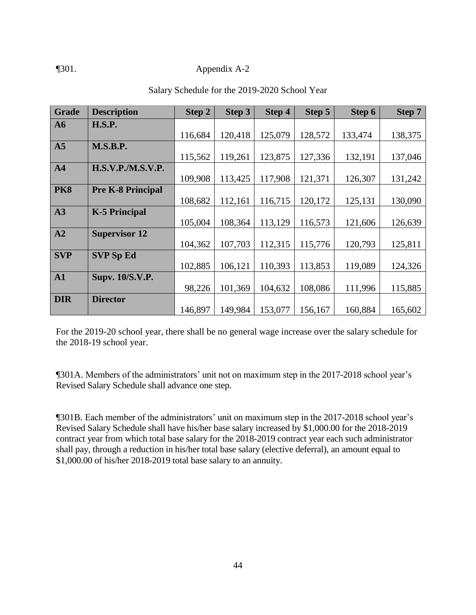#### ¶301. Appendix A-2

| Grade         | <b>Description</b>       | Step 2  | Step 3  | Step 4  | Step 5  | Step 6  | Step 7  |
|---------------|--------------------------|---------|---------|---------|---------|---------|---------|
| A6            | <b>H.S.P.</b>            |         |         |         |         |         |         |
|               |                          | 116,684 | 120,418 | 125,079 | 128,572 | 133,474 | 138,375 |
| A5            | <b>M.S.B.P.</b>          |         |         |         |         |         |         |
|               |                          | 115,562 | 119,261 | 123,875 | 127,336 | 132,191 | 137,046 |
| AA            | <b>H.S.V.P./M.S.V.P.</b> |         |         |         |         |         |         |
|               |                          | 109,908 | 113,425 | 117,908 | 121,371 | 126,307 | 131,242 |
| <b>PK8</b>    | <b>Pre K-8 Principal</b> |         |         |         |         |         |         |
|               |                          | 108,682 | 112,161 | 116,715 | 120,172 | 125,131 | 130,090 |
| A3            | <b>K-5 Principal</b>     |         |         |         |         |         |         |
|               |                          | 105,004 | 108,364 | 113,129 | 116,573 | 121,606 | 126,639 |
| A2            | <b>Supervisor 12</b>     |         |         |         |         |         |         |
|               |                          | 104,362 | 107,703 | 112,315 | 115,776 | 120,793 | 125,811 |
| <b>SVP</b>    | <b>SVP Sp Ed</b>         |         |         |         |         |         |         |
|               |                          | 102,885 | 106,121 | 110,393 | 113,853 | 119,089 | 124,326 |
| $\mathbf{A1}$ | <b>Supv. 10/S.V.P.</b>   |         |         |         |         |         |         |
|               |                          | 98,226  | 101,369 | 104,632 | 108,086 | 111,996 | 115,885 |
| <b>DIR</b>    | <b>Director</b>          |         |         |         |         |         |         |
|               |                          | 146,897 | 149,984 | 153,077 | 156,167 | 160,884 | 165,602 |

#### Salary Schedule for the 2019-2020 School Year

For the 2019-20 school year, there shall be no general wage increase over the salary schedule for the 2018-19 school year.

¶301A. Members of the administrators' unit not on maximum step in the 2017-2018 school year's Revised Salary Schedule shall advance one step.

¶301B. Each member of the administrators' unit on maximum step in the 2017-2018 school year's Revised Salary Schedule shall have his/her base salary increased by \$1,000.00 for the 2018-2019 contract year from which total base salary for the 2018-2019 contract year each such administrator shall pay, through a reduction in his/her total base salary (elective deferral), an amount equal to \$1,000.00 of his/her 2018-2019 total base salary to an annuity.